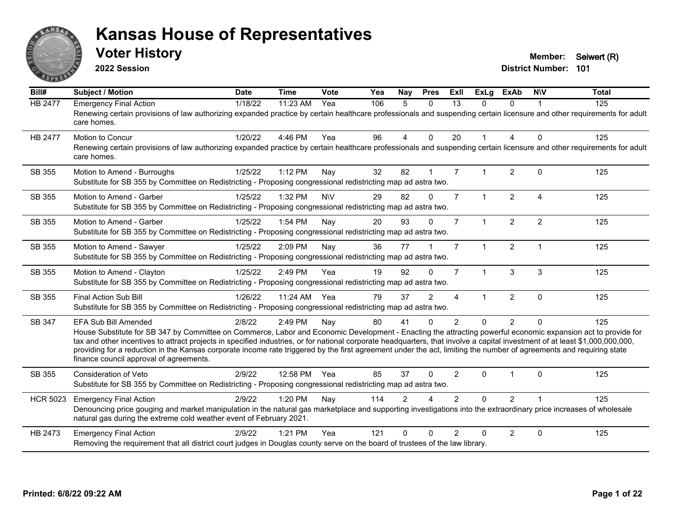

**2022 Session**

**Voter History Member:** Seiwert (R)

| Bill#           | Subject / Motion                                                                                                                                                                                                                                                                                                                                                                                                                                                                                                                                                                                   | <b>Date</b> | <b>Time</b>  | <b>Vote</b> | Yea | Nay            | <b>Pres</b>    | <b>ExII</b>    | <b>ExLg</b>  | <b>ExAb</b>    | <b>NIV</b>              | <b>Total</b> |
|-----------------|----------------------------------------------------------------------------------------------------------------------------------------------------------------------------------------------------------------------------------------------------------------------------------------------------------------------------------------------------------------------------------------------------------------------------------------------------------------------------------------------------------------------------------------------------------------------------------------------------|-------------|--------------|-------------|-----|----------------|----------------|----------------|--------------|----------------|-------------------------|--------------|
| <b>HB 2477</b>  | <b>Emergency Final Action</b><br>Renewing certain provisions of law authorizing expanded practice by certain healthcare professionals and suspending certain licensure and other requirements for adult<br>care homes.                                                                                                                                                                                                                                                                                                                                                                             | 1/18/22     | 11:23 AM     | Yea         | 106 | 5              | $\mathbf{0}$   | 13             | 0            | $\Omega$       |                         | 125          |
| <b>HB 2477</b>  | <b>Motion to Concur</b><br>Renewing certain provisions of law authorizing expanded practice by certain healthcare professionals and suspending certain licensure and other requirements for adult<br>care homes.                                                                                                                                                                                                                                                                                                                                                                                   | 1/20/22     | 4:46 PM      | Yea         | 96  | $\overline{4}$ | $\mathbf{0}$   | 20             | $\mathbf{1}$ | 4              | $\Omega$                | 125          |
| SB 355          | Motion to Amend - Burroughs<br>Substitute for SB 355 by Committee on Redistricting - Proposing congressional redistricting map ad astra two.                                                                                                                                                                                                                                                                                                                                                                                                                                                       | 1/25/22     | 1:12 PM      | Nay         | 32  | 82             |                | $\overline{7}$ | 1            | 2              | $\Omega$                | 125          |
| SB 355          | Motion to Amend - Garber<br>Substitute for SB 355 by Committee on Redistricting - Proposing congressional redistricting map ad astra two.                                                                                                                                                                                                                                                                                                                                                                                                                                                          | 1/25/22     | 1:32 PM      | <b>NV</b>   | 29  | 82             | $\Omega$       | $\overline{7}$ | $\mathbf{1}$ | $\overline{2}$ | $\overline{4}$          | 125          |
| SB 355          | Motion to Amend - Garber<br>Substitute for SB 355 by Committee on Redistricting - Proposing congressional redistricting map ad astra two.                                                                                                                                                                                                                                                                                                                                                                                                                                                          | 1/25/22     | 1:54 PM      | Nay         | 20  | 93             | $\Omega$       | $\overline{7}$ | $\mathbf{1}$ | $\overline{2}$ | $\overline{2}$          | 125          |
| SB 355          | Motion to Amend - Sawyer<br>Substitute for SB 355 by Committee on Redistricting - Proposing congressional redistricting map ad astra two.                                                                                                                                                                                                                                                                                                                                                                                                                                                          | 1/25/22     | 2:09 PM      | Nay         | 36  | 77             |                | $\overline{7}$ | $\mathbf{1}$ | 2              | $\overline{\mathbf{1}}$ | 125          |
| SB 355          | Motion to Amend - Clayton<br>Substitute for SB 355 by Committee on Redistricting - Proposing congressional redistricting map ad astra two.                                                                                                                                                                                                                                                                                                                                                                                                                                                         | 1/25/22     | 2:49 PM      | Yea         | 19  | 92             | $\Omega$       | $\overline{7}$ | $\mathbf{1}$ | 3              | 3                       | 125          |
| SB 355          | <b>Final Action Sub Bill</b><br>Substitute for SB 355 by Committee on Redistricting - Proposing congressional redistricting map ad astra two.                                                                                                                                                                                                                                                                                                                                                                                                                                                      | 1/26/22     | 11:24 AM Yea |             | 79  | 37             | $\mathfrak{p}$ | 4              | 1            | $\overline{2}$ | $\Omega$                | 125          |
| SB 347          | <b>EFA Sub Bill Amended</b><br>House Substitute for SB 347 by Committee on Commerce, Labor and Economic Development - Enacting the attracting powerful economic expansion act to provide for<br>tax and other incentives to attract projects in specified industries, or for national corporate headquarters, that involve a capital investment of at least \$1,000,000,000,000,<br>providing for a reduction in the Kansas corporate income rate triggered by the first agreement under the act, limiting the number of agreements and requiring state<br>finance council approval of agreements. | 2/8/22      | 2:49 PM      | Nay         | 80  | 41             | $\mathbf{0}$   | $\overline{2}$ | $\Omega$     | $\overline{2}$ | $\Omega$                | 125          |
| SB 355          | Consideration of Veto<br>Substitute for SB 355 by Committee on Redistricting - Proposing congressional redistricting map ad astra two.                                                                                                                                                                                                                                                                                                                                                                                                                                                             | 2/9/22      | 12:58 PM Yea |             | 85  | 37             | $\Omega$       | $\overline{2}$ | $\Omega$     |                | $\Omega$                | 125          |
| <b>HCR 5023</b> | <b>Emergency Final Action</b><br>Denouncing price gouging and market manipulation in the natural gas marketplace and supporting investigations into the extraordinary price increases of wholesale<br>natural gas during the extreme cold weather event of February 2021.                                                                                                                                                                                                                                                                                                                          | 2/9/22      | 1:20 PM      | Nay         | 114 | $\mathcal{P}$  |                | $\mathcal{P}$  | $\Omega$     | 2              |                         | 125          |
| HB 2473         | <b>Emergency Final Action</b><br>Removing the requirement that all district court judges in Douglas county serve on the board of trustees of the law library.                                                                                                                                                                                                                                                                                                                                                                                                                                      | 2/9/22      | 1:21 PM      | Yea         | 121 | $\Omega$       | ∩              | $\mathcal{P}$  | <sup>0</sup> | $\overline{2}$ | $\Omega$                | 125          |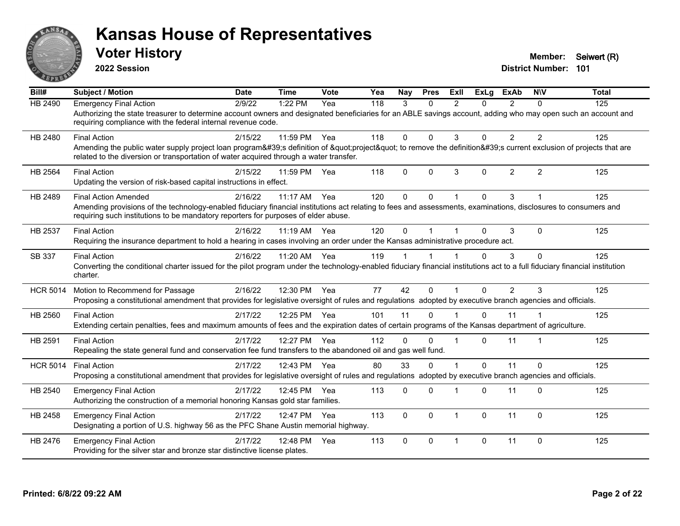

**2022 Session**

**Voter History Member:** Seiwert (R)

| Bill#           | <b>Subject / Motion</b>                                                                                                                                                                                                                               | <b>Date</b> | <b>Time</b> | Vote | Yea | Nay         | <b>Pres</b>  | ExII           | ExLg     | <b>ExAb</b>    | <b>NIV</b>              | <b>Total</b> |
|-----------------|-------------------------------------------------------------------------------------------------------------------------------------------------------------------------------------------------------------------------------------------------------|-------------|-------------|------|-----|-------------|--------------|----------------|----------|----------------|-------------------------|--------------|
| HB 2490         | <b>Emergency Final Action</b>                                                                                                                                                                                                                         | 2/9/22      | 1:22 PM     | Yea  | 118 | 3           | $\Omega$     | $\mathcal{P}$  | 0        | $\overline{2}$ | $\Omega$                | 125          |
|                 | Authorizing the state treasurer to determine account owners and designated beneficiaries for an ABLE savings account, adding who may open such an account and<br>requiring compliance with the federal internal revenue code.                         |             |             |      |     |             |              |                |          |                |                         |              |
| HB 2480         | <b>Final Action</b>                                                                                                                                                                                                                                   | 2/15/22     | 11:59 PM    | Yea  | 118 | $\Omega$    | $\Omega$     | 3              | $\Omega$ | 2              | 2                       | 125          |
|                 | Amending the public water supply project loan program's definition of "project" to remove the definition's current exclusion of projects that are<br>related to the diversion or transportation of water acquired through a water transfer.           |             |             |      |     |             |              |                |          |                |                         |              |
| <b>HB 2564</b>  | <b>Final Action</b>                                                                                                                                                                                                                                   | 2/15/22     | 11:59 PM    | Yea  | 118 | $\mathbf 0$ | $\mathbf{0}$ | 3              | $\Omega$ | $\overline{2}$ | $\overline{2}$          | 125          |
|                 | Updating the version of risk-based capital instructions in effect.                                                                                                                                                                                    |             |             |      |     |             |              |                |          |                |                         |              |
| HB 2489         | <b>Final Action Amended</b>                                                                                                                                                                                                                           | 2/16/22     | $11:17$ AM  | Yea  | 120 | $\Omega$    | $\Omega$     |                | $\Omega$ | 3              |                         | 125          |
|                 | Amending provisions of the technology-enabled fiduciary financial institutions act relating to fees and assessments, examinations, disclosures to consumers and<br>requiring such institutions to be mandatory reporters for purposes of elder abuse. |             |             |      |     |             |              |                |          |                |                         |              |
| HB 2537         | <b>Final Action</b>                                                                                                                                                                                                                                   | 2/16/22     | 11:19 AM    | Yea  | 120 | $\Omega$    |              |                | $\Omega$ | 3              | $\mathbf{0}$            | 125          |
|                 | Requiring the insurance department to hold a hearing in cases involving an order under the Kansas administrative procedure act.                                                                                                                       |             |             |      |     |             |              |                |          |                |                         |              |
| SB 337          | <b>Final Action</b>                                                                                                                                                                                                                                   | 2/16/22     | 11:20 AM    | Yea  | 119 |             |              |                | $\Omega$ | 3              | $\Omega$                | 125          |
|                 | Converting the conditional charter issued for the pilot program under the technology-enabled fiduciary financial institutions act to a full fiduciary financial institution<br>charter.                                                               |             |             |      |     |             |              |                |          |                |                         |              |
| <b>HCR 5014</b> | Motion to Recommend for Passage                                                                                                                                                                                                                       | 2/16/22     | 12:30 PM    | Yea  | 77  | 42          | $\Omega$     | $\overline{1}$ | $\Omega$ | $\overline{2}$ | 3                       | 125          |
|                 | Proposing a constitutional amendment that provides for legislative oversight of rules and regulations adopted by executive branch agencies and officials.                                                                                             |             |             |      |     |             |              |                |          |                |                         |              |
| HB 2560         | <b>Final Action</b>                                                                                                                                                                                                                                   | 2/17/22     | 12:25 PM    | Yea  | 101 | 11          | $\mathbf{0}$ |                | $\Omega$ | 11             |                         | 125          |
|                 | Extending certain penalties, fees and maximum amounts of fees and the expiration dates of certain programs of the Kansas department of agriculture.                                                                                                   |             |             |      |     |             |              |                |          |                |                         |              |
| HB 2591         | <b>Final Action</b>                                                                                                                                                                                                                                   | 2/17/22     | 12:27 PM    | Yea  | 112 | $\Omega$    | $\Omega$     |                | $\Omega$ | 11             | $\overline{\mathbf{1}}$ | 125          |
|                 | Repealing the state general fund and conservation fee fund transfers to the abandoned oil and gas well fund.                                                                                                                                          |             |             |      |     |             |              |                |          |                |                         |              |
| <b>HCR 5014</b> | <b>Final Action</b>                                                                                                                                                                                                                                   | 2/17/22     | 12:43 PM    | Yea  | 80  | 33          | $\Omega$     |                | $\Omega$ | 11             | $\Omega$                | 125          |
|                 | Proposing a constitutional amendment that provides for legislative oversight of rules and regulations adopted by executive branch agencies and officials.                                                                                             |             |             |      |     |             |              |                |          |                |                         |              |
| HB 2540         | <b>Emergency Final Action</b>                                                                                                                                                                                                                         | 2/17/22     | 12:45 PM    | Yea  | 113 | $\Omega$    | $\Omega$     |                | $\Omega$ | 11             | $\Omega$                | 125          |
|                 | Authorizing the construction of a memorial honoring Kansas gold star families.                                                                                                                                                                        |             |             |      |     |             |              |                |          |                |                         |              |
| HB 2458         | <b>Emergency Final Action</b>                                                                                                                                                                                                                         | 2/17/22     | 12:47 PM    | Yea  | 113 | $\mathbf 0$ | $\Omega$     | $\overline{1}$ | $\Omega$ | 11             | $\mathbf 0$             | 125          |
|                 | Designating a portion of U.S. highway 56 as the PFC Shane Austin memorial highway.                                                                                                                                                                    |             |             |      |     |             |              |                |          |                |                         |              |
| HB 2476         | <b>Emergency Final Action</b>                                                                                                                                                                                                                         | 2/17/22     | 12:48 PM    | Yea  | 113 | $\Omega$    | $\Omega$     | $\overline{1}$ | $\Omega$ | 11             | $\Omega$                | 125          |
|                 | Providing for the silver star and bronze star distinctive license plates.                                                                                                                                                                             |             |             |      |     |             |              |                |          |                |                         |              |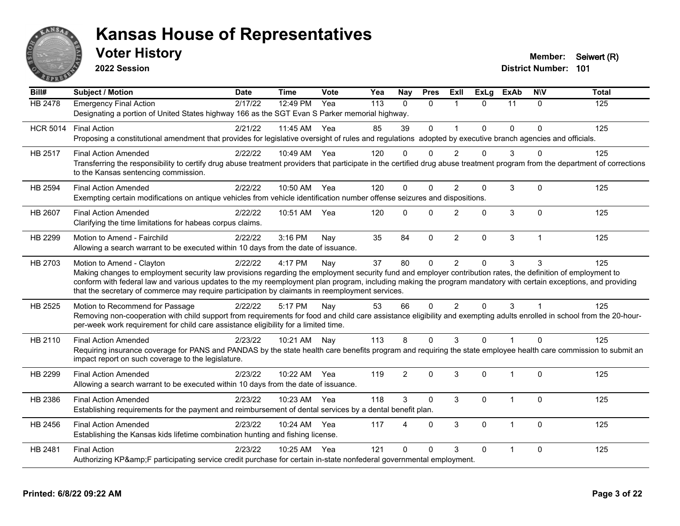

**2022 Session**

**Voter History Member:** Seiwert (R)

| Bill#           | <b>Subject / Motion</b>                                                                                                                                                                                                                                                                                                                                                                                                                                         | <b>Date</b> | <b>Time</b>  | Vote | Yea | Nay            | <b>Pres</b>  | Exll           | <b>ExLg</b> | <b>ExAb</b>    | <b>NIV</b>   | <b>Total</b> |
|-----------------|-----------------------------------------------------------------------------------------------------------------------------------------------------------------------------------------------------------------------------------------------------------------------------------------------------------------------------------------------------------------------------------------------------------------------------------------------------------------|-------------|--------------|------|-----|----------------|--------------|----------------|-------------|----------------|--------------|--------------|
| HB 2478         | <b>Emergency Final Action</b><br>Designating a portion of United States highway 166 as the SGT Evan S Parker memorial highway.                                                                                                                                                                                                                                                                                                                                  | 2/17/22     | 12:49 PM     | Yea  | 113 | $\Omega$       | $\mathbf{0}$ | $\mathbf{1}$   | $\Omega$    | 11             | $\mathbf{0}$ | 125          |
| <b>HCR 5014</b> | <b>Final Action</b><br>Proposing a constitutional amendment that provides for legislative oversight of rules and regulations adopted by executive branch agencies and officials.                                                                                                                                                                                                                                                                                | 2/21/22     | 11:45 AM Yea |      | 85  | 39             | $\mathbf{0}$ | $\overline{ }$ | 0           | $\Omega$       | $\Omega$     | 125          |
| <b>HB 2517</b>  | <b>Final Action Amended</b><br>Transferring the responsibility to certify drug abuse treatment providers that participate in the certified drug abuse treatment program from the department of corrections<br>to the Kansas sentencing commission.                                                                                                                                                                                                              | 2/22/22     | 10:49 AM     | Yea  | 120 | $\Omega$       | $\Omega$     | $\mathcal{P}$  | $\Omega$    | 3              | $\Omega$     | 125          |
| <b>HB 2594</b>  | <b>Final Action Amended</b><br>Exempting certain modifications on antique vehicles from vehicle identification number offense seizures and dispositions.                                                                                                                                                                                                                                                                                                        | 2/22/22     | 10:50 AM Yea |      | 120 | $\mathbf{0}$   | $\Omega$     | $\overline{2}$ | 0           | 3              | $\Omega$     | 125          |
| <b>HB 2607</b>  | <b>Final Action Amended</b><br>Clarifying the time limitations for habeas corpus claims.                                                                                                                                                                                                                                                                                                                                                                        | 2/22/22     | 10:51 AM     | Yea  | 120 | $\mathbf{0}$   | $\Omega$     | $\overline{2}$ | 0           | 3              | $\Omega$     | 125          |
| HB 2299         | Motion to Amend - Fairchild<br>Allowing a search warrant to be executed within 10 days from the date of issuance.                                                                                                                                                                                                                                                                                                                                               | 2/22/22     | 3:16 PM      | Nay  | 35  | 84             | $\mathbf 0$  | $\overline{2}$ | 0           | 3              | $\mathbf{1}$ | 125          |
| HB 2703         | Motion to Amend - Clayton<br>Making changes to employment security law provisions regarding the employment security fund and employer contribution rates, the definition of employment to<br>conform with federal law and various updates to the my reemployment plan program, including making the program mandatory with certain exceptions, and providing<br>that the secretary of commerce may require participation by claimants in reemployment services. | 2/22/22     | 4:17 PM      | Nay  | 37  | 80             | $\mathbf{0}$ | 2              | $\Omega$    | 3              | 3            | 125          |
| HB 2525         | Motion to Recommend for Passage<br>Removing non-cooperation with child support from requirements for food and child care assistance eligibility and exempting adults enrolled in school from the 20-hour-<br>per-week work requirement for child care assistance eligibility for a limited time.                                                                                                                                                                | 2/22/22     | 5:17 PM      | Nay  | 53  | 66             | $\Omega$     | $\mathfrak{p}$ | $\Omega$    | 3              |              | 125          |
| HB 2110         | <b>Final Action Amended</b><br>Requiring insurance coverage for PANS and PANDAS by the state health care benefits program and requiring the state employee health care commission to submit an<br>impact report on such coverage to the legislature.                                                                                                                                                                                                            | 2/23/22     | 10:21 AM Nay |      | 113 | 8              | $\mathbf{0}$ | 3              | $\Omega$    | $\overline{1}$ | $\Omega$     | 125          |
| HB 2299         | <b>Final Action Amended</b><br>Allowing a search warrant to be executed within 10 days from the date of issuance.                                                                                                                                                                                                                                                                                                                                               | 2/23/22     | 10:22 AM     | Yea  | 119 | $\overline{2}$ | $\mathbf{0}$ | 3              | 0           | $\overline{1}$ | $\mathbf{0}$ | 125          |
| HB 2386         | <b>Final Action Amended</b><br>Establishing requirements for the payment and reimbursement of dental services by a dental benefit plan.                                                                                                                                                                                                                                                                                                                         | 2/23/22     | 10:23 AM Yea |      | 118 | 3              | $\Omega$     | 3              | $\Omega$    | 1              | $\Omega$     | 125          |
| HB 2456         | <b>Final Action Amended</b><br>Establishing the Kansas kids lifetime combination hunting and fishing license.                                                                                                                                                                                                                                                                                                                                                   | 2/23/22     | 10:24 AM     | Yea  | 117 | 4              | $\Omega$     | 3              | 0           | $\overline{1}$ | $\Omega$     | 125          |
| <b>HB 2481</b>  | <b>Final Action</b><br>Authorizing KP&F participating service credit purchase for certain in-state nonfederal governmental employment.                                                                                                                                                                                                                                                                                                                          | 2/23/22     | 10:25 AM     | Yea  | 121 | $\Omega$       | $\Omega$     | 3              | $\Omega$    | $\overline{1}$ | $\Omega$     | 125          |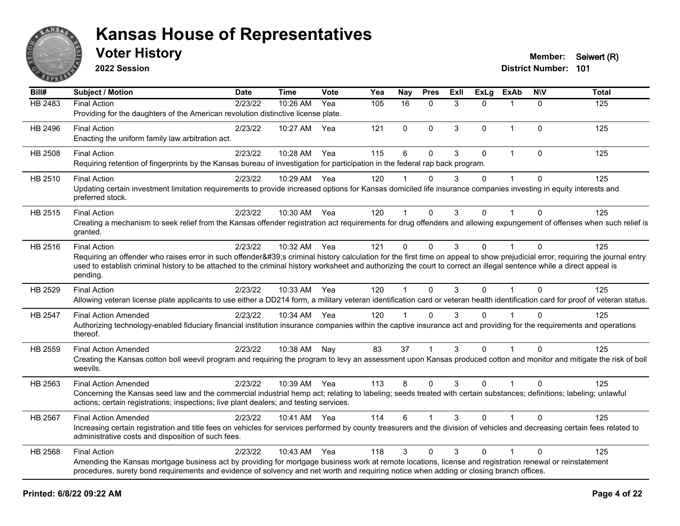

**2022 Session**

**District Number: 101 Voter History Member:** Seiwert (R)

**Bill# Subject / Motion Date Time Vote Yea Nay Pres Exll ExLg ExAb N\V Total** HB 2483 Final Action 2/23/22 10:26 AM Yea 105 16 0 3 0 1 0 125 Providing for the daughters of the American revolution distinctive license plate. HB 2496 Final Action 2/23/22 10:27 AM Yea 121 0 0 3 0 1 0 125 Enacting the uniform family law arbitration act. HB 2508 Final Action 2/23/22 10:28 AM Yea 115 6 0 3 0 1 0 125 Requiring retention of fingerprints by the Kansas bureau of investigation for participation in the federal rap back program. HB 2510 Final Action 2/23/22 10:29 AM Yea 120 1 0 3 0 1 0 125 Updating certain investment limitation requirements to provide increased options for Kansas domiciled life insurance companies investing in equity interests and preferred stock. HB 2515 Final Action 2/23/22 10:30 AM Yea 120 1 0 3 0 1 0 125 Creating a mechanism to seek relief from the Kansas offender registration act requirements for drug offenders and allowing expungement of offenses when such relief is granted. HB 2516 Final Action 2/23/22 10:32 AM Yea 121 0 0 3 0 1 0 125 Requiring an offender who raises error in such offender's criminal history calculation for the first time on appeal to show prejudicial error, requiring the journal entry used to establish criminal history to be attached to the criminal history worksheet and authorizing the court to correct an illegal sentence while a direct appeal is pending. HB 2529 Final Action 2/23/22 10:33 AM Yea 120 1 0 3 0 1 0 125 Allowing veteran license plate applicants to use either a DD214 form, a military veteran identification card or veteran health identification card for proof of veteran status. HB 2547 Final Action Amended 2/23/22 10:34 AM Yea 120 1 0 3 0 1 0 125 Authorizing technology-enabled fiduciary financial institution insurance companies within the captive insurance act and providing for the requirements and operations thereof. HB 2559 Final Action Amended 2023/22 10:38 AM Nav 83 37 1 3 0 1 0 125 Creating the Kansas cotton boll weevil program and requiring the program to levy an assessment upon Kansas produced cotton and monitor and mitigate the risk of boll weevils. HB 2563 Final Action Amended 2023/22 10:39 AM Yea 113 8 0 3 0 1 0 125 Concerning the Kansas seed law and the commercial industrial hemp act; relating to labeling; seeds treated with certain substances; definitions; labeling; unlawful actions; certain registrations; inspections; live plant dealers; and testing services. HB 2567 Final Action Amended 2023/22 10:41 AM Yea 114 6 1 3 0 1 0 125 Increasing certain registration and title fees on vehicles for services performed by county treasurers and the division of vehicles and decreasing certain fees related to administrative costs and disposition of such fees. HB 2568 Final Action 2/23/22 10:43 AM Yea 118 3 0 3 0 1 0 125 Amending the Kansas mortgage business act by providing for mortgage business work at remote locations, license and registration renewal or reinstatement procedures, surety bond requirements and evidence of solvency and net worth and requiring notice when adding or closing branch offices.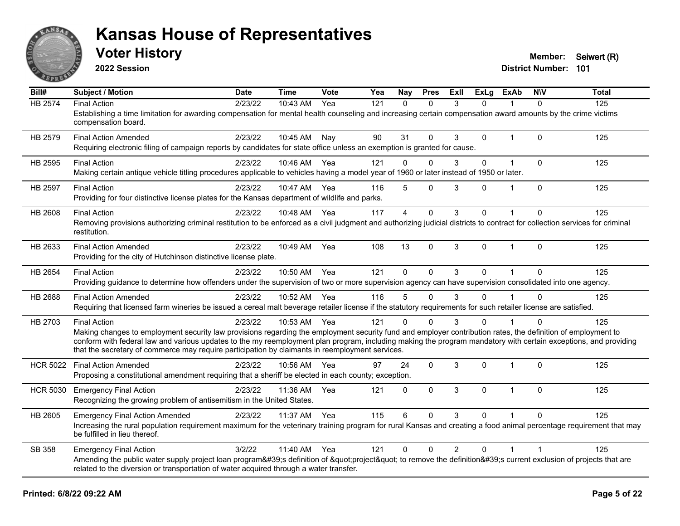

**2022 Session**

**Voter History Member:** Seiwert (R)

| Bill#           | Subject / Motion                                                                                                                                                                                                                                                   | <b>Date</b> | <b>Time</b>  | <b>Vote</b> | Yea | Nay            | <b>Pres</b>  | ExII           | <b>ExLg</b> | <b>ExAb</b>    | <b>NIV</b>   | <b>Total</b> |
|-----------------|--------------------------------------------------------------------------------------------------------------------------------------------------------------------------------------------------------------------------------------------------------------------|-------------|--------------|-------------|-----|----------------|--------------|----------------|-------------|----------------|--------------|--------------|
| <b>HB 2574</b>  | <b>Final Action</b>                                                                                                                                                                                                                                                | 2/23/22     | 10:43 AM     | Yea         | 121 | $\Omega$       | $\Omega$     | 3              | $\Omega$    |                | $\Omega$     | 125          |
|                 | Establishing a time limitation for awarding compensation for mental health counseling and increasing certain compensation award amounts by the crime victims<br>compensation board.                                                                                |             |              |             |     |                |              |                |             |                |              |              |
| HB 2579         | <b>Final Action Amended</b>                                                                                                                                                                                                                                        | 2/23/22     | 10:45 AM     | Nay         | 90  | 31             | $\Omega$     | 3              | 0           | $\overline{1}$ | $\Omega$     | 125          |
|                 | Requiring electronic filing of campaign reports by candidates for state office unless an exemption is granted for cause.                                                                                                                                           |             |              |             |     |                |              |                |             |                |              |              |
| HB 2595         | <b>Final Action</b>                                                                                                                                                                                                                                                | 2/23/22     | 10:46 AM     | Yea         | 121 | $\mathbf{0}$   | $\Omega$     | 3              | 0           | $\mathbf 1$    | $\mathbf 0$  | 125          |
|                 | Making certain antique vehicle titling procedures applicable to vehicles having a model year of 1960 or later instead of 1950 or later.                                                                                                                            |             |              |             |     |                |              |                |             |                |              |              |
| HB 2597         | <b>Final Action</b>                                                                                                                                                                                                                                                | 2/23/22     | 10:47 AM     | Yea         | 116 | 5              | $\Omega$     | 3              | $\Omega$    |                | $\mathbf 0$  | 125          |
|                 | Providing for four distinctive license plates for the Kansas department of wildlife and parks.                                                                                                                                                                     |             |              |             |     |                |              |                |             |                |              |              |
| HB 2608         | <b>Final Action</b>                                                                                                                                                                                                                                                | 2/23/22     | 10:48 AM     | Yea         | 117 | $\overline{4}$ | $\mathbf 0$  | 3              | 0           |                | $\Omega$     | 125          |
|                 | Removing provisions authorizing criminal restitution to be enforced as a civil judgment and authorizing judicial districts to contract for collection services for criminal<br>restitution.                                                                        |             |              |             |     |                |              |                |             |                |              |              |
| HB 2633         | <b>Final Action Amended</b>                                                                                                                                                                                                                                        | 2/23/22     | 10:49 AM     | Yea         | 108 | 13             | $\mathbf 0$  | 3              | 0           | $\mathbf{1}$   | $\mathbf{0}$ | 125          |
|                 | Providing for the city of Hutchinson distinctive license plate.                                                                                                                                                                                                    |             |              |             |     |                |              |                |             |                |              |              |
| HB 2654         | <b>Final Action</b>                                                                                                                                                                                                                                                | 2/23/22     | 10:50 AM     | Yea         | 121 | $\mathbf{0}$   | $\mathbf{0}$ | 3              | $\Omega$    |                | $\Omega$     | 125          |
|                 | Providing guidance to determine how offenders under the supervision of two or more supervision agency can have supervision consolidated into one agency.                                                                                                           |             |              |             |     |                |              |                |             |                |              |              |
| HB 2688         | <b>Final Action Amended</b>                                                                                                                                                                                                                                        | 2/23/22     | 10:52 AM     | Yea         | 116 | 5              | $\Omega$     | 3              | 0           |                | $\Omega$     | 125          |
|                 | Requiring that licensed farm wineries be issued a cereal malt beverage retailer license if the statutory requirements for such retailer license are satisfied.                                                                                                     |             |              |             |     |                |              |                |             |                |              |              |
| HB 2703         | <b>Final Action</b>                                                                                                                                                                                                                                                | 2/23/22     | 10:53 AM Yea |             | 121 | O              | $\Omega$     | 3              | 0           |                | $\Omega$     | 125          |
|                 | Making changes to employment security law provisions regarding the employment security fund and employer contribution rates, the definition of employment to                                                                                                       |             |              |             |     |                |              |                |             |                |              |              |
|                 | conform with federal law and various updates to the my reemployment plan program, including making the program mandatory with certain exceptions, and providing<br>that the secretary of commerce may require participation by claimants in reemployment services. |             |              |             |     |                |              |                |             |                |              |              |
| <b>HCR 5022</b> | <b>Final Action Amended</b>                                                                                                                                                                                                                                        | 2/23/22     | 10:56 AM     | Yea         | 97  | 24             | $\Omega$     | 3              | 0           | 1              | $\Omega$     | 125          |
|                 | Proposing a constitutional amendment requiring that a sheriff be elected in each county; exception.                                                                                                                                                                |             |              |             |     |                |              |                |             |                |              |              |
| <b>HCR 5030</b> | <b>Emergency Final Action</b>                                                                                                                                                                                                                                      | 2/23/22     | 11:36 AM     | Yea         | 121 | $\mathbf 0$    | $\mathbf 0$  | 3              | 0           | $\overline{1}$ | $\Omega$     | 125          |
|                 | Recognizing the growing problem of antisemitism in the United States.                                                                                                                                                                                              |             |              |             |     |                |              |                |             |                |              |              |
| HB 2605         | <b>Emergency Final Action Amended</b>                                                                                                                                                                                                                              | 2/23/22     | 11:37 AM     | Yea         | 115 | 6              | $\Omega$     | 3              | 0           |                | $\Omega$     | 125          |
|                 | Increasing the rural population requirement maximum for the veterinary training program for rural Kansas and creating a food animal percentage requirement that may<br>be fulfilled in lieu thereof.                                                               |             |              |             |     |                |              |                |             |                |              |              |
| SB 358          | <b>Emergency Final Action</b>                                                                                                                                                                                                                                      | 3/2/22      | 11:40 AM     | Yea         | 121 | $\mathbf{0}$   | $\Omega$     | $\overline{2}$ | 0           | 1              |              | 125          |
|                 | Amending the public water supply project loan program's definition of "project" to remove the definition's current exclusion of projects that are<br>related to the diversion or transportation of water acquired through a water transfer.                        |             |              |             |     |                |              |                |             |                |              |              |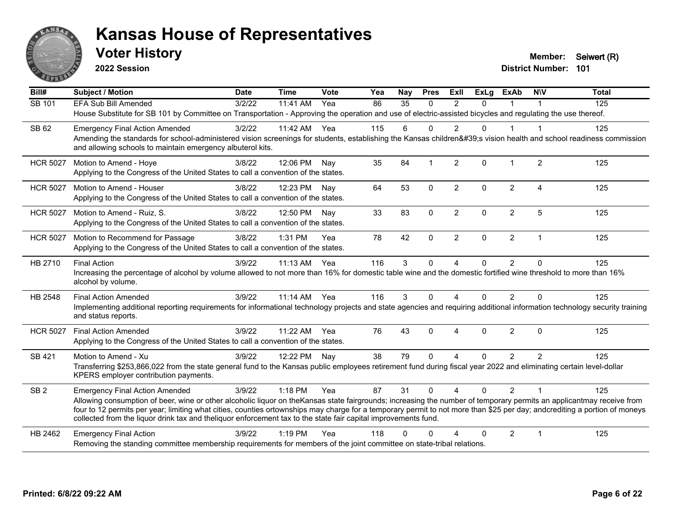

**2022 Session**

**Voter History Member:** Seiwert (R)

| Bill#           | <b>Subject / Motion</b>                                                                                                                                                                                                                                                                                                                                                                                                                                             | <b>Date</b> | <b>Time</b> | Vote | Yea | Nay | <b>Pres</b>    | <b>ExII</b>    | <b>ExLg</b> | <b>ExAb</b>    | <b>NIV</b>     | <b>Total</b> |
|-----------------|---------------------------------------------------------------------------------------------------------------------------------------------------------------------------------------------------------------------------------------------------------------------------------------------------------------------------------------------------------------------------------------------------------------------------------------------------------------------|-------------|-------------|------|-----|-----|----------------|----------------|-------------|----------------|----------------|--------------|
| SB 101          | <b>EFA Sub Bill Amended</b>                                                                                                                                                                                                                                                                                                                                                                                                                                         | 3/2/22      | 11:41 AM    | Yea  | 86  | 35  | $\Omega$       | $\mathfrak{p}$ | $\Omega$    | 1              |                | 125          |
|                 | House Substitute for SB 101 by Committee on Transportation - Approving the operation and use of electric-assisted bicycles and regulating the use thereof.                                                                                                                                                                                                                                                                                                          |             |             |      |     |     |                |                |             |                |                |              |
| SB 62           | <b>Emergency Final Action Amended</b>                                                                                                                                                                                                                                                                                                                                                                                                                               | 3/2/22      | 11:42 AM    | Yea  | 115 | 6   | $\Omega$       | $\overline{2}$ | $\Omega$    | 1              | $\overline{1}$ | 125          |
|                 | Amending the standards for school-administered vision screenings for students, establishing the Kansas children's vision health and school readiness commission<br>and allowing schools to maintain emergency albuterol kits.                                                                                                                                                                                                                                       |             |             |      |     |     |                |                |             |                |                |              |
| <b>HCR 5027</b> | Motion to Amend - Hoye                                                                                                                                                                                                                                                                                                                                                                                                                                              | 3/8/22      | 12:06 PM    | Nav  | 35  | 84  | $\overline{1}$ | $\overline{2}$ | $\Omega$    | $\mathbf 1$    | $\overline{2}$ | 125          |
|                 | Applying to the Congress of the United States to call a convention of the states.                                                                                                                                                                                                                                                                                                                                                                                   |             |             |      |     |     |                |                |             |                |                |              |
| <b>HCR 5027</b> | Motion to Amend - Houser                                                                                                                                                                                                                                                                                                                                                                                                                                            | 3/8/22      | 12:23 PM    | Nav  | 64  | 53  | $\mathbf{0}$   | $\overline{2}$ | $\Omega$    | 2              | $\Delta$       | 125          |
|                 | Applying to the Congress of the United States to call a convention of the states.                                                                                                                                                                                                                                                                                                                                                                                   |             |             |      |     |     |                |                |             |                |                |              |
| <b>HCR 5027</b> | Motion to Amend - Ruiz, S.                                                                                                                                                                                                                                                                                                                                                                                                                                          | 3/8/22      | 12:50 PM    | Nay  | 33  | 83  | $\mathbf 0$    | $\overline{2}$ | 0           | $\overline{2}$ | 5              | 125          |
|                 | Applying to the Congress of the United States to call a convention of the states.                                                                                                                                                                                                                                                                                                                                                                                   |             |             |      |     |     |                |                |             |                |                |              |
| <b>HCR 5027</b> | Motion to Recommend for Passage                                                                                                                                                                                                                                                                                                                                                                                                                                     | 3/8/22      | 1:31 PM     | Yea  | 78  | 42  | $\Omega$       | $\overline{2}$ | $\Omega$    | $\overline{2}$ | $\overline{1}$ | 125          |
|                 | Applying to the Congress of the United States to call a convention of the states.                                                                                                                                                                                                                                                                                                                                                                                   |             |             |      |     |     |                |                |             |                |                |              |
| HB 2710         | <b>Final Action</b>                                                                                                                                                                                                                                                                                                                                                                                                                                                 | 3/9/22      | 11:13 AM    | Yea  | 116 | 3   | $\mathbf 0$    | 4              | 0           | $\overline{2}$ | $\Omega$       | 125          |
|                 | Increasing the percentage of alcohol by volume allowed to not more than 16% for domestic table wine and the domestic fortified wine threshold to more than 16%<br>alcohol by volume.                                                                                                                                                                                                                                                                                |             |             |      |     |     |                |                |             |                |                |              |
| HB 2548         | <b>Final Action Amended</b>                                                                                                                                                                                                                                                                                                                                                                                                                                         | 3/9/22      | 11:14 AM    | Yea  | 116 | 3   | $\Omega$       | 4              | 0           | $\overline{2}$ | $\Omega$       | 125          |
|                 | Implementing additional reporting requirements for informational technology projects and state agencies and requiring additional information technology security training<br>and status reports.                                                                                                                                                                                                                                                                    |             |             |      |     |     |                |                |             |                |                |              |
| <b>HCR 5027</b> | <b>Final Action Amended</b>                                                                                                                                                                                                                                                                                                                                                                                                                                         | 3/9/22      | 11:22 AM    | Yea  | 76  | 43  | $\Omega$       | 4              | $\Omega$    | $\overline{2}$ | $\Omega$       | 125          |
|                 | Applying to the Congress of the United States to call a convention of the states.                                                                                                                                                                                                                                                                                                                                                                                   |             |             |      |     |     |                |                |             |                |                |              |
| SB 421          | Motion to Amend - Xu                                                                                                                                                                                                                                                                                                                                                                                                                                                | 3/9/22      | 12:22 PM    | Nav  | 38  | 79  | $\Omega$       | 4              | 0           | 2              | 2              | 125          |
|                 | Transferring \$253,866,022 from the state general fund to the Kansas public employees retirement fund during fiscal year 2022 and eliminating certain level-dollar<br>KPERS employer contribution payments.                                                                                                                                                                                                                                                         |             |             |      |     |     |                |                |             |                |                |              |
| SB <sub>2</sub> | <b>Emergency Final Action Amended</b>                                                                                                                                                                                                                                                                                                                                                                                                                               | 3/9/22      | 1:18 PM     | Yea  | 87  | 31  | $\mathbf{0}$   | $\overline{A}$ | $\Omega$    | $\overline{2}$ |                | 125          |
|                 | Allowing consumption of beer, wine or other alcoholic liquor on theKansas state fairgrounds; increasing the number of temporary permits an applicantmay receive from<br>four to 12 permits per year; limiting what cities, counties ortownships may charge for a temporary permit to not more than \$25 per day; andcrediting a portion of moneys<br>collected from the liquor drink tax and theliquor enforcement tax to the state fair capital improvements fund. |             |             |      |     |     |                |                |             |                |                |              |
| HB 2462         | <b>Emergency Final Action</b>                                                                                                                                                                                                                                                                                                                                                                                                                                       | 3/9/22      | $1:19$ PM   | Yea  | 118 | ∩   | ∩              |                | 0           | 2              | $\overline{1}$ | 125          |
|                 | Removing the standing committee membership requirements for members of the joint committee on state-tribal relations.                                                                                                                                                                                                                                                                                                                                               |             |             |      |     |     |                |                |             |                |                |              |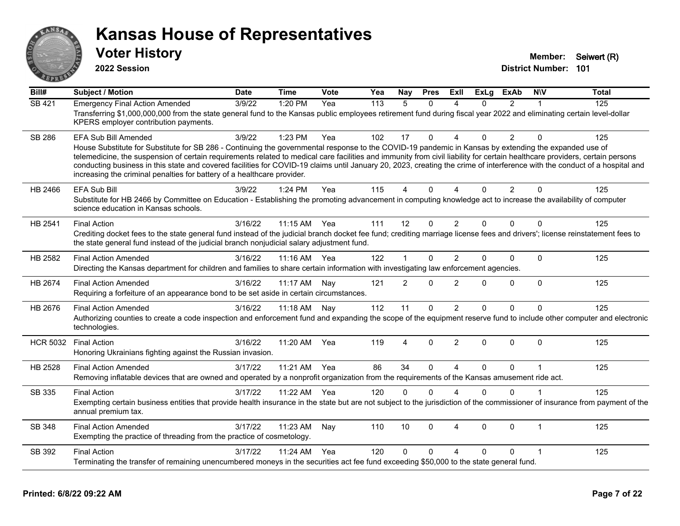

**2022 Session**

**Voter History Member:** Seiwert (R)

| Bill#           | <b>Subject / Motion</b>                                                                                                                                                                                                                                                                                                                                                                                                                                                                                                                                                                                               | <b>Date</b> | <b>Time</b>  | Vote | Yea | Nay            | <b>Pres</b>  | ExII                   | <b>ExLg</b> | <b>ExAb</b>    | <b>NIV</b>   | <b>Total</b> |
|-----------------|-----------------------------------------------------------------------------------------------------------------------------------------------------------------------------------------------------------------------------------------------------------------------------------------------------------------------------------------------------------------------------------------------------------------------------------------------------------------------------------------------------------------------------------------------------------------------------------------------------------------------|-------------|--------------|------|-----|----------------|--------------|------------------------|-------------|----------------|--------------|--------------|
| <b>SB 421</b>   | <b>Emergency Final Action Amended</b><br>Transferring \$1,000,000,000 from the state general fund to the Kansas public employees retirement fund during fiscal year 2022 and eliminating certain level-dollar<br>KPERS employer contribution payments.                                                                                                                                                                                                                                                                                                                                                                | 3/9/22      | 1:20 PM      | Yea  | 113 | 5              | $\Omega$     | 4                      | $\Omega$    | 2              | 1            | 125          |
| <b>SB 286</b>   | EFA Sub Bill Amended<br>House Substitute for Substitute for SB 286 - Continuing the governmental response to the COVID-19 pandemic in Kansas by extending the expanded use of<br>telemedicine, the suspension of certain requirements related to medical care facilities and immunity from civil liability for certain healthcare providers, certain persons<br>conducting business in this state and covered facilities for COVID-19 claims until January 20, 2023, creating the crime of interference with the conduct of a hospital and<br>increasing the criminal penalties for battery of a healthcare provider. | 3/9/22      | 1:23 PM      | Yea  | 102 | 17             | 0            | $\boldsymbol{\Lambda}$ | $\Omega$    | $\overline{2}$ | $\Omega$     | 125          |
| HB 2466         | <b>EFA Sub Bill</b><br>Substitute for HB 2466 by Committee on Education - Establishing the promoting advancement in computing knowledge act to increase the availability of computer<br>science education in Kansas schools.                                                                                                                                                                                                                                                                                                                                                                                          | 3/9/22      | $1:24$ PM    | Yea  | 115 | 4              | $\Omega$     | $\Lambda$              | $\Omega$    | $\overline{2}$ | $\Omega$     | 125          |
| HB 2541         | <b>Final Action</b><br>Crediting docket fees to the state general fund instead of the judicial branch docket fee fund; crediting marriage license fees and drivers'; license reinstatement fees to<br>the state general fund instead of the judicial branch nonjudicial salary adjustment fund.                                                                                                                                                                                                                                                                                                                       | 3/16/22     | 11:15 AM Yea |      | 111 | 12             | $\Omega$     | $\overline{2}$         | $\Omega$    | $\Omega$       | $\Omega$     | 125          |
| HB 2582         | <b>Final Action Amended</b><br>Directing the Kansas department for children and families to share certain information with investigating law enforcement agencies.                                                                                                                                                                                                                                                                                                                                                                                                                                                    | 3/16/22     | $11:16$ AM   | Yea  | 122 | 1              | $\Omega$     | 2                      | $\Omega$    | $\Omega$       | $\Omega$     | 125          |
| HB 2674         | <b>Final Action Amended</b><br>Requiring a forfeiture of an appearance bond to be set aside in certain circumstances.                                                                                                                                                                                                                                                                                                                                                                                                                                                                                                 | 3/16/22     | 11:17 AM     | Nay  | 121 | $\overline{2}$ | $\mathbf{0}$ | $\overline{2}$         | $\Omega$    | 0              | $\mathbf{0}$ | 125          |
| HB 2676         | <b>Final Action Amended</b><br>Authorizing counties to create a code inspection and enforcement fund and expanding the scope of the equipment reserve fund to include other computer and electronic<br>technologies.                                                                                                                                                                                                                                                                                                                                                                                                  | 3/16/22     | 11:18 AM     | Nay  | 112 | 11             | $\mathbf{0}$ | 2                      | $\Omega$    | $\Omega$       | $\Omega$     | 125          |
| <b>HCR 5032</b> | <b>Final Action</b><br>Honoring Ukrainians fighting against the Russian invasion.                                                                                                                                                                                                                                                                                                                                                                                                                                                                                                                                     | 3/16/22     | 11:20 AM     | Yea  | 119 | 4              | $\Omega$     | $\overline{2}$         | $\Omega$    | $\Omega$       | $\Omega$     | 125          |
| HB 2528         | <b>Final Action Amended</b><br>Removing inflatable devices that are owned and operated by a nonprofit organization from the requirements of the Kansas amusement ride act.                                                                                                                                                                                                                                                                                                                                                                                                                                            | 3/17/22     | 11:21 AM     | Yea  | 86  | 34             | $\Omega$     | $\boldsymbol{\Lambda}$ | $\Omega$    | $\Omega$       | $\mathbf{1}$ | 125          |
| SB 335          | <b>Final Action</b><br>Exempting certain business entities that provide health insurance in the state but are not subject to the jurisdiction of the commissioner of insurance from payment of the<br>annual premium tax.                                                                                                                                                                                                                                                                                                                                                                                             | 3/17/22     | 11:22 AM     | Yea  | 120 | $\mathbf{0}$   | $\mathbf{0}$ | $\boldsymbol{\Lambda}$ | $\Omega$    | $\Omega$       |              | 125          |
| SB 348          | <b>Final Action Amended</b><br>Exempting the practice of threading from the practice of cosmetology.                                                                                                                                                                                                                                                                                                                                                                                                                                                                                                                  | 3/17/22     | 11:23 AM     | Nay  | 110 | 10             | $\Omega$     | 4                      | $\Omega$    | $\Omega$       | 1            | 125          |
| SB 392          | <b>Final Action</b><br>Terminating the transfer of remaining unencumbered moneys in the securities act fee fund exceeding \$50,000 to the state general fund.                                                                                                                                                                                                                                                                                                                                                                                                                                                         | 3/17/22     | 11:24 AM     | Yea  | 120 | $\Omega$       | $\Omega$     | Δ                      | $\Omega$    | 0              | 1            | 125          |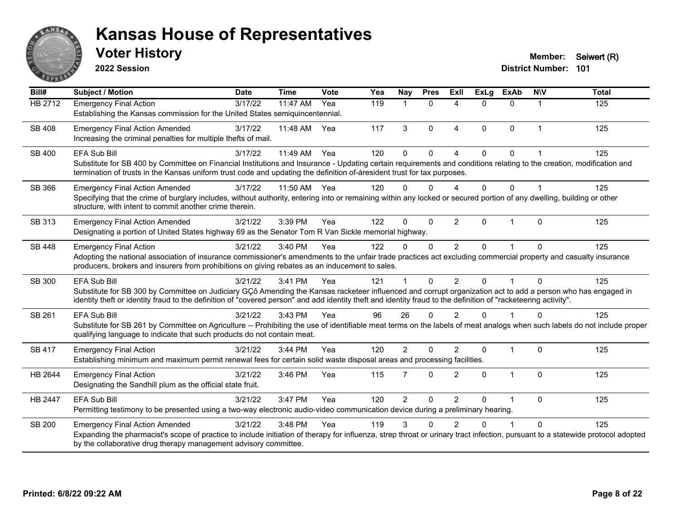

**2022 Session**

**District Number: 101 Voter History Member:** Seiwert (R)

**Bill# Subject / Motion Date Time Vote Yea Nay Pres Exll ExLg ExAb N\V Total** HB 2712 Emergency Final Action 3/17/22 11:47 AM Yea 119 1 0 4 0 0 1 125 Establishing the Kansas commission for the United States semiquincentennial. SB 408 Emergency Final Action Amended 3/17/22 11:48 AM Yea 117 3 0 4 0 0 1 125 Increasing the criminal penalties for multiple thefts of mail. SB 400 EFA Sub Bill 3/17/22 11:49 AM Yea 120 0 4 0 0 1 125 Substitute for SB 400 by Committee on Financial Institutions and Insurance - Updating certain requirements and conditions relating to the creation, modification and termination of trusts in the Kansas uniform trust code and updating the definition of-áresident trust for tax purposes. SB 366 Emergency Final Action Amended 3/17/22 11:50 AM Yea 120 0 0 4 0 0 1 125 Specifying that the crime of burglary includes, without authority, entering into or remaining within any locked or secured portion of any dwelling, building or other structure, with intent to commit another crime therein. SB 313 Emergency Final Action Amended 3/21/22 3:39 PM Yea 122 0 0 2 0 1 0 125 Designating a portion of United States highway 69 as the Senator Tom R Van Sickle memorial highway. SB 448 Emergency Final Action (a) 3/21/22 3:40 PM Yea (a) 122 0 0 2 0 1 0 125 Adopting the national association of insurance commissioner's amendments to the unfair trade practices act excluding commercial property and casualty insurance producers, brokers and insurers from prohibitions on giving rebates as an inducement to sales. SB 300 EFA Sub Bill 3/21/22 3:41 PM Yea 121 1 0 2 0 1 0 125 Substitute for SB 300 by Committee on Judiciary GÇô Amending the Kansas racketeer influenced and corrupt organization act to add a person who has engaged in identity theft or identity fraud to the definition of "covered person" and add identity theft and identity fraud to the definition of "racketeering activity". SB 261 EFA Sub Bill 3/21/22 3:43 PM Yea 96 26 0 2 0 1 0 125 Substitute for SB 261 by Committee on Agriculture -- Prohibiting the use of identifiable meat terms on the labels of meat analogs when such labels do not include proper qualifying language to indicate that such products do not contain meat. SB 417 Emergency Final Action 2002 3/21/22 3:44 PM Yea 320 2 0 2 0 1 0 125 Establishing minimum and maximum permit renewal fees for certain solid waste disposal areas and processing facilities. HB 2644 Emergency Final Action (a) 3/21/22 3:46 PM Yea 115 7 0 2 0 1 0 125 Designating the Sandhill plum as the official state fruit. HB 2447 EFA Sub Bill 3/21/22 3:47 PM Yea 120 2 0 2 0 1 0 125 Permitting testimony to be presented using a two-way electronic audio-video communication device during a preliminary hearing. SB 200 Emergency Final Action Amended 3/21/22 3:48 PM Yea 119 3 0 2 0 1 0 125 Expanding the pharmacist's scope of practice to include initiation of therapy for influenza, strep throat or urinary tract infection, pursuant to a statewide protocol adopted by the collaborative drug therapy management advisory committee.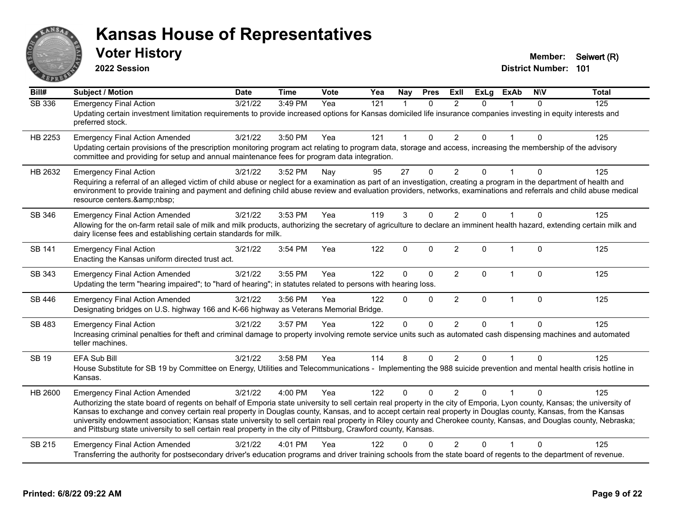

**2022 Session**

**District Number: 101 Voter History Member:** Seiwert (R)

| Bill#         | <b>Subject / Motion</b>                                                                                                                                                                                                                                                                                                                                                                                                                                                                                                                                                                                                                                                      | <b>Date</b> | <b>Time</b> | Vote | Yea | Nay            | <b>Pres</b>  | <b>Exll</b>    | <b>ExLg</b>  | <b>ExAb</b>  | <b>NIV</b>   | <b>Total</b> |
|---------------|------------------------------------------------------------------------------------------------------------------------------------------------------------------------------------------------------------------------------------------------------------------------------------------------------------------------------------------------------------------------------------------------------------------------------------------------------------------------------------------------------------------------------------------------------------------------------------------------------------------------------------------------------------------------------|-------------|-------------|------|-----|----------------|--------------|----------------|--------------|--------------|--------------|--------------|
| SB 336        | <b>Emergency Final Action</b><br>Updating certain investment limitation requirements to provide increased options for Kansas domiciled life insurance companies investing in equity interests and<br>preferred stock.                                                                                                                                                                                                                                                                                                                                                                                                                                                        | 3/21/22     | 3:49 PM     | Yea  | 121 |                | $\Omega$     | $\mathfrak{p}$ | $\Omega$     |              | $\Omega$     | 125          |
| HB 2253       | <b>Emergency Final Action Amended</b><br>Updating certain provisions of the prescription monitoring program act relating to program data, storage and access, increasing the membership of the advisory<br>committee and providing for setup and annual maintenance fees for program data integration.                                                                                                                                                                                                                                                                                                                                                                       | 3/21/22     | 3:50 PM     | Yea  | 121 | $\overline{1}$ | $\Omega$     | $\overline{2}$ | $\mathbf{0}$ | $\mathbf 1$  | $\Omega$     | 125          |
| HB 2632       | <b>Emergency Final Action</b><br>Requiring a referral of an alleged victim of child abuse or neglect for a examination as part of an investigation, creating a program in the department of health and<br>environment to provide training and payment and defining child abuse review and evaluation providers, networks, examinations and referrals and child abuse medical<br>resource centers.                                                                                                                                                                                                                                                                            | 3/21/22     | 3:52 PM     | Nay  | 95  | 27             | 0            | $\overline{2}$ | 0            |              | 0            | 125          |
| SB 346        | <b>Emergency Final Action Amended</b><br>Allowing for the on-farm retail sale of milk and milk products, authorizing the secretary of agriculture to declare an imminent health hazard, extending certain milk and<br>dairy license fees and establishing certain standards for milk.                                                                                                                                                                                                                                                                                                                                                                                        | 3/21/22     | 3:53 PM     | Yea  | 119 | 3              | $\Omega$     | $\overline{2}$ | $\Omega$     | 1            | $\Omega$     | 125          |
| <b>SB 141</b> | <b>Emergency Final Action</b><br>Enacting the Kansas uniform directed trust act.                                                                                                                                                                                                                                                                                                                                                                                                                                                                                                                                                                                             | 3/21/22     | 3:54 PM     | Yea  | 122 | $\mathbf 0$    | 0            | $\overline{2}$ | $\mathbf{0}$ | $\mathbf{1}$ | $\mathbf{0}$ | 125          |
| SB 343        | <b>Emergency Final Action Amended</b><br>Updating the term "hearing impaired"; to "hard of hearing"; in statutes related to persons with hearing loss.                                                                                                                                                                                                                                                                                                                                                                                                                                                                                                                       | 3/21/22     | 3:55 PM     | Yea  | 122 | $\mathbf 0$    | $\mathbf 0$  | $\overline{2}$ | $\mathbf 0$  | $\mathbf{1}$ | $\mathbf 0$  | 125          |
| SB 446        | <b>Emergency Final Action Amended</b><br>Designating bridges on U.S. highway 166 and K-66 highway as Veterans Memorial Bridge.                                                                                                                                                                                                                                                                                                                                                                                                                                                                                                                                               | 3/21/22     | 3:56 PM     | Yea  | 122 | $\mathbf{0}$   | $\mathbf{0}$ | $\overline{2}$ | $\mathbf{0}$ | $\mathbf{1}$ | $\Omega$     | 125          |
| SB 483        | <b>Emergency Final Action</b><br>Increasing criminal penalties for theft and criminal damage to property involving remote service units such as automated cash dispensing machines and automated<br>teller machines.                                                                                                                                                                                                                                                                                                                                                                                                                                                         | 3/21/22     | 3:57 PM     | Yea  | 122 | $\mathbf 0$    | $\mathbf{0}$ | 2              | $\Omega$     | 1            | $\mathbf{0}$ | 125          |
| SB 19         | <b>EFA Sub Bill</b><br>House Substitute for SB 19 by Committee on Energy, Utilities and Telecommunications - Implementing the 988 suicide prevention and mental health crisis hotline in<br>Kansas.                                                                                                                                                                                                                                                                                                                                                                                                                                                                          | 3/21/22     | 3:58 PM     | Yea  | 114 | 8              | $\Omega$     | $\overline{2}$ | $\Omega$     | 1            | $\Omega$     | 125          |
| HB 2600       | <b>Emergency Final Action Amended</b><br>Authorizing the state board of regents on behalf of Emporia state university to sell certain real property in the city of Emporia, Lyon county, Kansas; the university of<br>Kansas to exchange and convey certain real property in Douglas county, Kansas, and to accept certain real property in Douglas county, Kansas, from the Kansas<br>university endowment association; Kansas state university to sell certain real property in Riley county and Cherokee county, Kansas, and Douglas county, Nebraska;<br>and Pittsburg state university to sell certain real property in the city of Pittsburg, Crawford county, Kansas. | 3/21/22     | 4:00 PM     | Yea  | 122 | $\Omega$       | $\Omega$     | 2              | U            |              | O            | 125          |
| SB 215        | <b>Emergency Final Action Amended</b><br>Transferring the authority for postsecondary driver's education programs and driver training schools from the state board of regents to the department of revenue.                                                                                                                                                                                                                                                                                                                                                                                                                                                                  | 3/21/22     | 4:01 PM     | Yea  | 122 | 0              | $\Omega$     | $\overline{2}$ | 0            |              | $\Omega$     | 125          |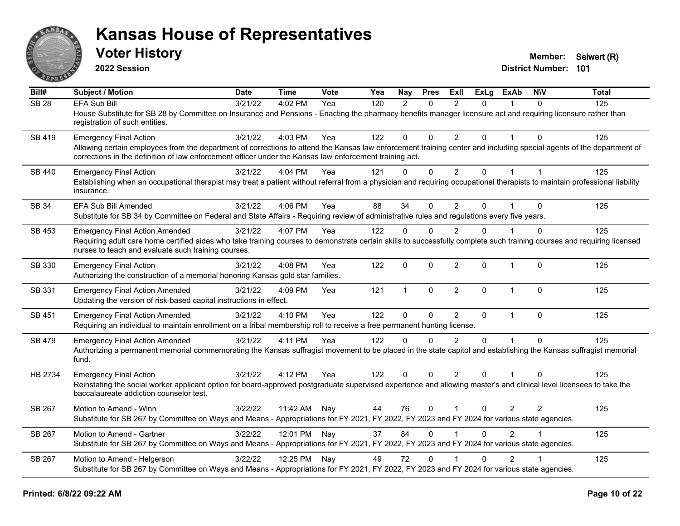

**2022 Session**

**Voter History Member:** Seiwert (R)

| Bill#            | Subject / Motion                                                                                                                                                                                                                                                                                                 | <b>Date</b> | <b>Time</b>  | <b>Vote</b> | Yea | Nay          | <b>Pres</b>  | ExII           | <b>ExLg</b>  | <b>ExAb</b>    | <b>NIV</b>     | <b>Total</b> |
|------------------|------------------------------------------------------------------------------------------------------------------------------------------------------------------------------------------------------------------------------------------------------------------------------------------------------------------|-------------|--------------|-------------|-----|--------------|--------------|----------------|--------------|----------------|----------------|--------------|
| SB <sub>28</sub> | <b>EFA Sub Bill</b><br>House Substitute for SB 28 by Committee on Insurance and Pensions - Enacting the pharmacy benefits manager licensure act and requiring licensure rather than<br>registration of such entities.                                                                                            | 3/21/22     | 4:02 PM      | Yea         | 120 | 2            | $\Omega$     | $\mathcal{P}$  | $\Omega$     |                | $\Omega$       | 125          |
| SB 419           | <b>Emergency Final Action</b><br>Allowing certain employees from the department of corrections to attend the Kansas law enforcement training center and including special agents of the department of<br>corrections in the definition of law enforcement officer under the Kansas law enforcement training act. | 3/21/22     | 4:03 PM      | Yea         | 122 | $\mathbf{0}$ | $\mathbf{0}$ | $\overline{2}$ | $\Omega$     |                | $\Omega$       | 125          |
| <b>SB 440</b>    | <b>Emergency Final Action</b><br>Establishing when an occupational therapist may treat a patient without referral from a physician and requiring occupational therapists to maintain professional liability<br>insurance.                                                                                        | 3/21/22     | 4:04 PM      | Yea         | 121 | $\mathbf{0}$ | $\mathbf 0$  | $\overline{2}$ | 0            | $\mathbf{1}$   | $\overline{1}$ | 125          |
| <b>SB 34</b>     | EFA Sub Bill Amended<br>Substitute for SB 34 by Committee on Federal and State Affairs - Requiring review of administrative rules and regulations every five years.                                                                                                                                              | 3/21/22     | 4:06 PM      | Yea         | 88  | 34           | $\mathbf{0}$ | $\overline{2}$ | $\mathbf{0}$ |                | $\Omega$       | 125          |
| <b>SB 453</b>    | <b>Emergency Final Action Amended</b><br>Requiring adult care home certified aides who take training courses to demonstrate certain skills to successfully complete such training courses and requiring licensed<br>nurses to teach and evaluate such training courses.                                          | 3/21/22     | 4:07 PM      | Yea         | 122 | $\Omega$     | $\mathbf{0}$ | 2              | $\Omega$     |                | $\Omega$       | 125          |
| SB 330           | <b>Emergency Final Action</b><br>Authorizing the construction of a memorial honoring Kansas gold star families.                                                                                                                                                                                                  | 3/21/22     | 4:08 PM      | Yea         | 122 | $\mathbf{0}$ | $\mathbf{0}$ | $\overline{2}$ | $\Omega$     | $\mathbf{1}$   | $\mathbf{0}$   | 125          |
| SB 331           | <b>Emergency Final Action Amended</b><br>Updating the version of risk-based capital instructions in effect.                                                                                                                                                                                                      | 3/21/22     | 4:09 PM      | Yea         | 121 | $\mathbf{1}$ | $\mathbf{0}$ | $\overline{2}$ | $\Omega$     | $\mathbf{1}$   | $\mathbf{0}$   | 125          |
| SB 451           | <b>Emergency Final Action Amended</b><br>Requiring an individual to maintain enrollment on a tribal membership roll to receive a free permanent hunting license.                                                                                                                                                 | 3/21/22     | 4:10 PM      | Yea         | 122 | $\Omega$     | $\mathbf 0$  | $\overline{2}$ | $\mathbf{0}$ | $\mathbf{1}$   | $\mathbf{0}$   | 125          |
| <b>SB 479</b>    | <b>Emergency Final Action Amended</b><br>Authorizing a permanent memorial commemorating the Kansas suffragist movement to be placed in the state capitol and establishing the Kansas suffragist memorial<br>fund.                                                                                                | 3/21/22     | 4:11 PM      | Yea         | 122 | $\Omega$     | $\Omega$     | $\mathcal{P}$  | $\Omega$     | $\overline{1}$ | $\Omega$       | 125          |
| HB 2734          | <b>Emergency Final Action</b><br>Reinstating the social worker applicant option for board-approved postgraduate supervised experience and allowing master's and clinical level licensees to take the<br>baccalaureate addiction counselor test.                                                                  | 3/21/22     | 4:12 PM      | Yea         | 122 | $\mathbf{0}$ | $\mathbf{0}$ | $\overline{2}$ | $\Omega$     | 1              | $\Omega$       | 125          |
| SB 267           | Motion to Amend - Winn<br>Substitute for SB 267 by Committee on Ways and Means - Appropriations for FY 2021, FY 2022, FY 2023 and FY 2024 for various state agencies.                                                                                                                                            | 3/22/22     | 11:42 AM     | Nay         | 44  | 76           | $\mathbf{0}$ |                | $\Omega$     | $\overline{2}$ | 2              | 125          |
| SB 267           | Motion to Amend - Gartner<br>Substitute for SB 267 by Committee on Ways and Means - Appropriations for FY 2021, FY 2022, FY 2023 and FY 2024 for various state agencies.                                                                                                                                         | 3/22/22     | 12:01 PM Nay |             | 37  | 84           | $\mathbf{0}$ |                | $\mathbf{0}$ | 2              |                | 125          |
| SB 267           | Motion to Amend - Helgerson<br>Substitute for SB 267 by Committee on Ways and Means - Appropriations for FY 2021, FY 2022, FY 2023 and FY 2024 for various state agencies.                                                                                                                                       | 3/22/22     | 12:25 PM Nay |             | 49  | 72           | $\Omega$     |                | $\Omega$     | $\overline{2}$ |                | 125          |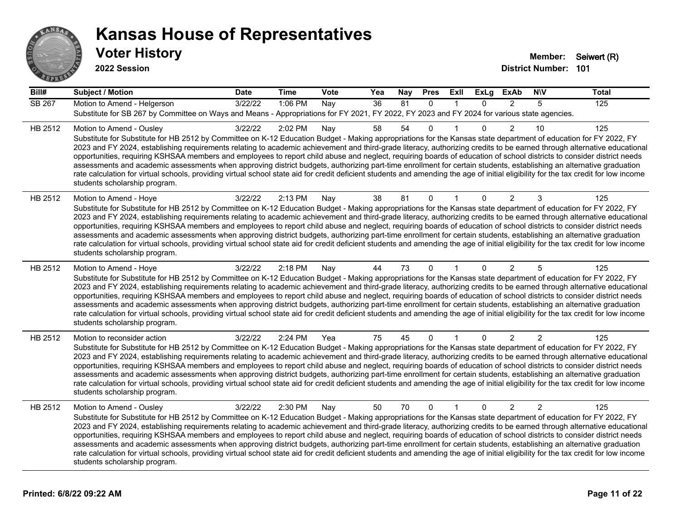

| Bill#         | <b>Subject / Motion</b>                                                                                                                                                                                                                                                                                                                                                                                                                                                                                                                                                                                                                                                                                                                                                                                                                                                                                                                             | <b>Date</b> | <b>Time</b> | <b>Vote</b> | Yea             | <b>Nay</b> | <b>Pres</b>  | <b>Exll</b>  | <b>ExLg</b> | <b>ExAb</b>    | <b>NIV</b>     | <b>Total</b> |
|---------------|-----------------------------------------------------------------------------------------------------------------------------------------------------------------------------------------------------------------------------------------------------------------------------------------------------------------------------------------------------------------------------------------------------------------------------------------------------------------------------------------------------------------------------------------------------------------------------------------------------------------------------------------------------------------------------------------------------------------------------------------------------------------------------------------------------------------------------------------------------------------------------------------------------------------------------------------------------|-------------|-------------|-------------|-----------------|------------|--------------|--------------|-------------|----------------|----------------|--------------|
| <b>SB 267</b> | Motion to Amend - Helgerson<br>Substitute for SB 267 by Committee on Ways and Means - Appropriations for FY 2021, FY 2022, FY 2023 and FY 2024 for various state agencies.                                                                                                                                                                                                                                                                                                                                                                                                                                                                                                                                                                                                                                                                                                                                                                          | 3/22/22     | 1:06 PM     | Nay         | $\overline{36}$ | 81         | $\mathbf{0}$ | $\mathbf{1}$ | $\Omega$    | 2              | 5              | 125          |
| HB 2512       | Motion to Amend - Ousley<br>Substitute for Substitute for HB 2512 by Committee on K-12 Education Budget - Making appropriations for the Kansas state department of education for FY 2022, FY<br>2023 and FY 2024, establishing requirements relating to academic achievement and third-grade literacy, authorizing credits to be earned through alternative educational<br>opportunities, requiring KSHSAA members and employees to report child abuse and neglect, requiring boards of education of school districts to consider district needs<br>assessments and academic assessments when approving district budgets, authorizing part-time enrollment for certain students, establishing an alternative graduation<br>rate calculation for virtual schools, providing virtual school state aid for credit deficient students and amending the age of initial eligibility for the tax credit for low income<br>students scholarship program.    | 3/22/22     | 2:02 PM     | Nay         | 58              | 54         | $\Omega$     |              | $\Omega$    | $\overline{2}$ | 10             | 125          |
| HB 2512       | Motion to Amend - Hoye<br>Substitute for Substitute for HB 2512 by Committee on K-12 Education Budget - Making appropriations for the Kansas state department of education for FY 2022, FY<br>2023 and FY 2024, establishing requirements relating to academic achievement and third-grade literacy, authorizing credits to be earned through alternative educational<br>opportunities, requiring KSHSAA members and employees to report child abuse and neglect, requiring boards of education of school districts to consider district needs<br>assessments and academic assessments when approving district budgets, authorizing part-time enrollment for certain students, establishing an alternative graduation<br>rate calculation for virtual schools, providing virtual school state aid for credit deficient students and amending the age of initial eligibility for the tax credit for low income<br>students scholarship program.      | 3/22/22     | 2:13 PM     | Nay         | 38              | 81         | $\Omega$     |              | 0           | 2              | 3              | 125          |
| HB 2512       | Motion to Amend - Hoye<br>Substitute for Substitute for HB 2512 by Committee on K-12 Education Budget - Making appropriations for the Kansas state department of education for FY 2022, FY<br>2023 and FY 2024, establishing requirements relating to academic achievement and third-grade literacy, authorizing credits to be earned through alternative educational<br>opportunities, requiring KSHSAA members and employees to report child abuse and neglect, requiring boards of education of school districts to consider district needs<br>assessments and academic assessments when approving district budgets, authorizing part-time enrollment for certain students, establishing an alternative graduation<br>rate calculation for virtual schools, providing virtual school state aid for credit deficient students and amending the age of initial eligibility for the tax credit for low income<br>students scholarship program.      | 3/22/22     | 2:18 PM     | Nay         | 44              | 73         | $\Omega$     |              | $\Omega$    | 2              | 5              | 125          |
| HB 2512       | Motion to reconsider action<br>Substitute for Substitute for HB 2512 by Committee on K-12 Education Budget - Making appropriations for the Kansas state department of education for FY 2022, FY<br>2023 and FY 2024, establishing requirements relating to academic achievement and third-grade literacy, authorizing credits to be earned through alternative educational<br>opportunities, requiring KSHSAA members and employees to report child abuse and neglect, requiring boards of education of school districts to consider district needs<br>assessments and academic assessments when approving district budgets, authorizing part-time enrollment for certain students, establishing an alternative graduation<br>rate calculation for virtual schools, providing virtual school state aid for credit deficient students and amending the age of initial eligibility for the tax credit for low income<br>students scholarship program. | 3/22/22     | 2:24 PM     | Yea         | 75              | 45         | $\Omega$     |              | $\Omega$    | $\overline{2}$ | $\overline{2}$ | 125          |
| HB 2512       | Motion to Amend - Ousley<br>Substitute for Substitute for HB 2512 by Committee on K-12 Education Budget - Making appropriations for the Kansas state department of education for FY 2022, FY<br>2023 and FY 2024, establishing requirements relating to academic achievement and third-grade literacy, authorizing credits to be earned through alternative educational<br>opportunities, requiring KSHSAA members and employees to report child abuse and neglect, requiring boards of education of school districts to consider district needs<br>assessments and academic assessments when approving district budgets, authorizing part-time enrollment for certain students, establishing an alternative graduation<br>rate calculation for virtual schools, providing virtual school state aid for credit deficient students and amending the age of initial eligibility for the tax credit for low income<br>students scholarship program.    | 3/22/22     | 2:30 PM     | Nay         | 50              | 70         | $\mathbf 0$  | $\mathbf{1}$ | $\Omega$    | $\overline{2}$ | $\overline{2}$ | 125          |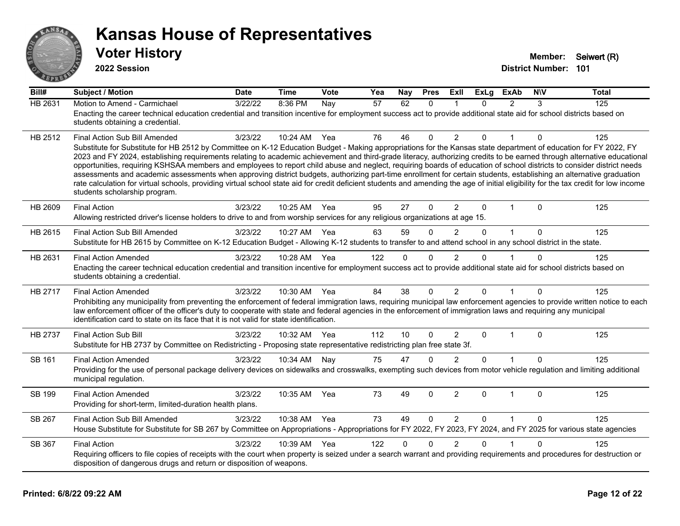

| Bill#          | <b>Subject / Motion</b>                                                                                                                                                                                                                                                                                                                                                                                                                                                                                                                                                                                                                                                                                                                                                                                                                                                                                                                                      | <b>Date</b> | <b>Time</b> | Vote | Yea | Nay      | <b>Pres</b>  | <b>ExII</b>    | <b>ExLg</b> | <b>ExAb</b>    | <b>NIV</b> | Total |
|----------------|--------------------------------------------------------------------------------------------------------------------------------------------------------------------------------------------------------------------------------------------------------------------------------------------------------------------------------------------------------------------------------------------------------------------------------------------------------------------------------------------------------------------------------------------------------------------------------------------------------------------------------------------------------------------------------------------------------------------------------------------------------------------------------------------------------------------------------------------------------------------------------------------------------------------------------------------------------------|-------------|-------------|------|-----|----------|--------------|----------------|-------------|----------------|------------|-------|
| HB 2631        | Motion to Amend - Carmichael<br>Enacting the career technical education credential and transition incentive for employment success act to provide additional state aid for school districts based on<br>students obtaining a credential.                                                                                                                                                                                                                                                                                                                                                                                                                                                                                                                                                                                                                                                                                                                     | 3/22/22     | 8:36 PM     | Nay  | 57  | 62       | $\mathbf{0}$ |                | $\Omega$    | $\mathcal{P}$  | 3          | 125   |
| HB 2512        | <b>Final Action Sub Bill Amended</b><br>Substitute for Substitute for HB 2512 by Committee on K-12 Education Budget - Making appropriations for the Kansas state department of education for FY 2022, FY<br>2023 and FY 2024, establishing requirements relating to academic achievement and third-grade literacy, authorizing credits to be earned through alternative educational<br>opportunities, requiring KSHSAA members and employees to report child abuse and neglect, requiring boards of education of school districts to consider district needs<br>assessments and academic assessments when approving district budgets, authorizing part-time enrollment for certain students, establishing an alternative graduation<br>rate calculation for virtual schools, providing virtual school state aid for credit deficient students and amending the age of initial eligibility for the tax credit for low income<br>students scholarship program. | 3/23/22     | 10:24 AM    | Yea  | 76  | 46       | $\mathbf{0}$ | $\overline{2}$ | $\Omega$    | $\mathbf{1}$   | $\Omega$   | 125   |
| HB 2609        | <b>Final Action</b><br>Allowing restricted driver's license holders to drive to and from worship services for any religious organizations at age 15.                                                                                                                                                                                                                                                                                                                                                                                                                                                                                                                                                                                                                                                                                                                                                                                                         | 3/23/22     | 10:25 AM    | Yea  | 95  | 27       | $\Omega$     | 2              | $\Omega$    | $\overline{1}$ | $\Omega$   | 125   |
| HB 2615        | Final Action Sub Bill Amended<br>Substitute for HB 2615 by Committee on K-12 Education Budget - Allowing K-12 students to transfer to and attend school in any school district in the state.                                                                                                                                                                                                                                                                                                                                                                                                                                                                                                                                                                                                                                                                                                                                                                 | 3/23/22     | 10:27 AM    | Yea  | 63  | 59       | $\Omega$     | 2              | $\Omega$    | $\mathbf{1}$   | $\Omega$   | 125   |
| HB 2631        | <b>Final Action Amended</b><br>Enacting the career technical education credential and transition incentive for employment success act to provide additional state aid for school districts based on<br>students obtaining a credential.                                                                                                                                                                                                                                                                                                                                                                                                                                                                                                                                                                                                                                                                                                                      | 3/23/22     | 10:28 AM    | Yea  | 122 | $\Omega$ | $\Omega$     | $\overline{2}$ | $\Omega$    |                | $\Omega$   | 125   |
| HB 2717        | <b>Final Action Amended</b><br>Prohibiting any municipality from preventing the enforcement of federal immigration laws, requiring municipal law enforcement agencies to provide written notice to each<br>law enforcement officer of the officer's duty to cooperate with state and federal agencies in the enforcement of immigration laws and requiring any municipal<br>identification card to state on its face that it is not valid for state identification.                                                                                                                                                                                                                                                                                                                                                                                                                                                                                          | 3/23/22     | 10:30 AM    | Yea  | 84  | 38       | $\Omega$     | 2              | $\Omega$    | 1              | 0          | 125   |
| <b>HB 2737</b> | <b>Final Action Sub Bill</b><br>Substitute for HB 2737 by Committee on Redistricting - Proposing state representative redistricting plan free state 3f.                                                                                                                                                                                                                                                                                                                                                                                                                                                                                                                                                                                                                                                                                                                                                                                                      | 3/23/22     | 10:32 AM    | Yea  | 112 | 10       | $\Omega$     | 2              | $\Omega$    | $\mathbf{1}$   | $\Omega$   | 125   |
| <b>SB 161</b>  | <b>Final Action Amended</b><br>Providing for the use of personal package delivery devices on sidewalks and crosswalks, exempting such devices from motor vehicle regulation and limiting additional<br>municipal regulation.                                                                                                                                                                                                                                                                                                                                                                                                                                                                                                                                                                                                                                                                                                                                 | 3/23/22     | 10:34 AM    | Nay  | 75  | 47       | $\Omega$     | $\overline{2}$ | $\Omega$    |                | $\Omega$   | 125   |
| SB 199         | <b>Final Action Amended</b><br>Providing for short-term, limited-duration health plans.                                                                                                                                                                                                                                                                                                                                                                                                                                                                                                                                                                                                                                                                                                                                                                                                                                                                      | 3/23/22     | 10:35 AM    | Yea  | 73  | 49       | $\Omega$     | $\overline{2}$ | $\Omega$    | $\overline{1}$ | $\Omega$   | 125   |
| <b>SB 267</b>  | <b>Final Action Sub Bill Amended</b><br>House Substitute for Substitute for SB 267 by Committee on Appropriations - Appropriations for FY 2022, FY 2023, FY 2024, and FY 2025 for various state agencies                                                                                                                                                                                                                                                                                                                                                                                                                                                                                                                                                                                                                                                                                                                                                     | 3/23/22     | 10:38 AM    | Yea  | 73  | 49       | $\Omega$     | 2              | $\Omega$    | $\mathbf{1}$   | $\Omega$   | 125   |
| SB 367         | <b>Final Action</b><br>Requiring officers to file copies of receipts with the court when property is seized under a search warrant and providing requirements and procedures for destruction or<br>disposition of dangerous drugs and return or disposition of weapons.                                                                                                                                                                                                                                                                                                                                                                                                                                                                                                                                                                                                                                                                                      | 3/23/22     | 10:39 AM    | Yea  | 122 | $\Omega$ | $\Omega$     | $\overline{2}$ | $\Omega$    | 1              | $\Omega$   | 125   |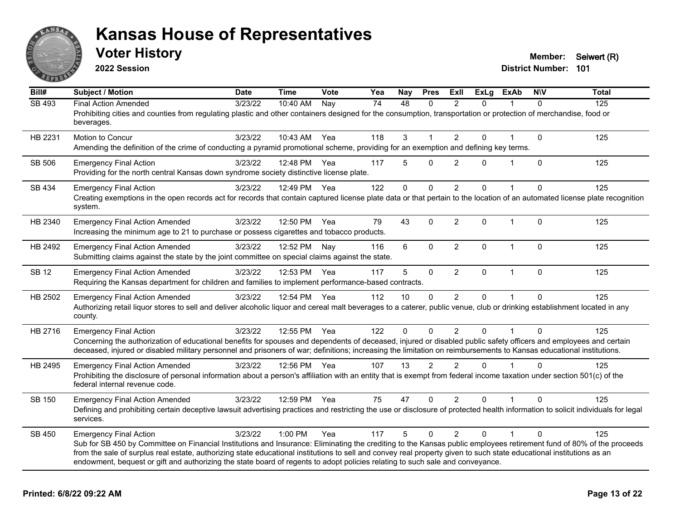

**2022 Session**

**District Number: 101 Voter History Member:** Seiwert (R)

| Bill#         | <b>Subject / Motion</b>                                                                                                                                                                                                                                                                                                                                                                                                                                                                                        | <b>Date</b> | <b>Time</b>  | Vote | Yea | Nay          | <b>Pres</b>  | Exll           | <b>ExLg</b> | <b>ExAb</b>  | <b>NIV</b>   | <b>Total</b> |
|---------------|----------------------------------------------------------------------------------------------------------------------------------------------------------------------------------------------------------------------------------------------------------------------------------------------------------------------------------------------------------------------------------------------------------------------------------------------------------------------------------------------------------------|-------------|--------------|------|-----|--------------|--------------|----------------|-------------|--------------|--------------|--------------|
| SB 493        | <b>Final Action Amended</b><br>Prohibiting cities and counties from regulating plastic and other containers designed for the consumption, transportation or protection of merchandise, food or<br>beverages.                                                                                                                                                                                                                                                                                                   | 3/23/22     | 10:40 AM     | Nay  | 74  | 48           | $\Omega$     | 2              | $\Omega$    |              | $\Omega$     | 125          |
| HB 2231       | Motion to Concur<br>Amending the definition of the crime of conducting a pyramid promotional scheme, providing for an exemption and defining key terms.                                                                                                                                                                                                                                                                                                                                                        | 3/23/22     | 10:43 AM     | Yea  | 118 | 3            | 1            | $\overline{2}$ | 0           |              | $\mathbf 0$  | 125          |
| SB 506        | <b>Emergency Final Action</b><br>Providing for the north central Kansas down syndrome society distinctive license plate.                                                                                                                                                                                                                                                                                                                                                                                       | 3/23/22     | 12:48 PM     | Yea  | 117 | 5            | 0            | 2              | 0           | 1            | $\mathbf{0}$ | 125          |
| SB 434        | <b>Emergency Final Action</b><br>Creating exemptions in the open records act for records that contain captured license plate data or that pertain to the location of an automated license plate recognition<br>system.                                                                                                                                                                                                                                                                                         | 3/23/22     | 12:49 PM     | Yea  | 122 | $\mathbf{0}$ | $\Omega$     | $\overline{2}$ | $\Omega$    |              | $\Omega$     | 125          |
| HB 2340       | <b>Emergency Final Action Amended</b><br>Increasing the minimum age to 21 to purchase or possess cigarettes and tobacco products.                                                                                                                                                                                                                                                                                                                                                                              | 3/23/22     | 12:50 PM     | Yea  | 79  | 43           | $\mathbf{0}$ | $\overline{2}$ | $\Omega$    | $\mathbf{1}$ | $\mathbf{0}$ | 125          |
| HB 2492       | <b>Emergency Final Action Amended</b><br>Submitting claims against the state by the joint committee on special claims against the state.                                                                                                                                                                                                                                                                                                                                                                       | 3/23/22     | 12:52 PM     | Nay  | 116 | 6            | $\mathbf 0$  | $\overline{2}$ | 0           | $\mathbf{1}$ | $\mathbf 0$  | 125          |
| <b>SB 12</b>  | <b>Emergency Final Action Amended</b><br>Requiring the Kansas department for children and families to implement performance-based contracts.                                                                                                                                                                                                                                                                                                                                                                   | 3/23/22     | 12:53 PM     | Yea  | 117 | 5            | $\mathbf 0$  | $\overline{2}$ | $\Omega$    | $\mathbf{1}$ | $\mathbf{0}$ | 125          |
| HB 2502       | <b>Emergency Final Action Amended</b><br>Authorizing retail liquor stores to sell and deliver alcoholic liquor and cereal malt beverages to a caterer, public venue, club or drinking establishment located in any<br>county.                                                                                                                                                                                                                                                                                  | 3/23/22     | 12:54 PM Yea |      | 112 | 10           | $\mathbf{0}$ | 2              | 0           |              | $\Omega$     | 125          |
| HB 2716       | <b>Emergency Final Action</b><br>Concerning the authorization of educational benefits for spouses and dependents of deceased, injured or disabled public safety officers and employees and certain<br>deceased, injured or disabled military personnel and prisoners of war; definitions; increasing the limitation on reimbursements to Kansas educational institutions.                                                                                                                                      | 3/23/22     | 12:55 PM     | Yea  | 122 | $\mathbf 0$  | $\Omega$     | $\overline{2}$ | $\Omega$    |              | $\Omega$     | 125          |
| HB 2495       | <b>Emergency Final Action Amended</b><br>Prohibiting the disclosure of personal information about a person's affiliation with an entity that is exempt from federal income taxation under section 501(c) of the<br>federal internal revenue code.                                                                                                                                                                                                                                                              | 3/23/22     | 12:56 PM Yea |      | 107 | 13           | 2            | 2              | $\Omega$    |              | $\Omega$     | 125          |
| <b>SB 150</b> | <b>Emergency Final Action Amended</b><br>Defining and prohibiting certain deceptive lawsuit advertising practices and restricting the use or disclosure of protected health information to solicit individuals for legal<br>services.                                                                                                                                                                                                                                                                          | 3/23/22     | 12:59 PM     | Yea  | 75  | 47           | $\Omega$     | 2              | $\Omega$    |              | $\Omega$     | 125          |
| SB 450        | <b>Emergency Final Action</b><br>Sub for SB 450 by Committee on Financial Institutions and Insurance: Eliminating the crediting to the Kansas public employees retirement fund of 80% of the proceeds<br>from the sale of surplus real estate, authorizing state educational institutions to sell and convey real property given to such state educational institutions as an<br>endowment, bequest or gift and authorizing the state board of regents to adopt policies relating to such sale and conveyance. | 3/23/22     | 1:00 PM      | Yea  | 117 | 5            | $\Omega$     | $\mathcal{P}$  | $\Omega$    | 1            | $\Omega$     | 125          |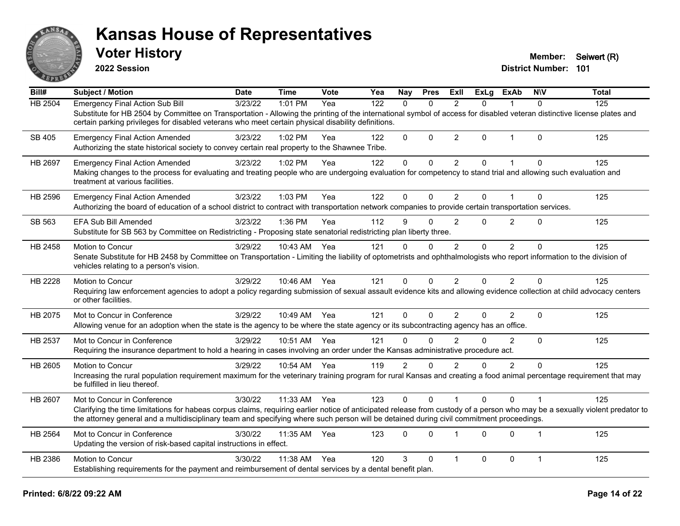

**2022 Session**

**Voter History Member:** Seiwert (R)

| Bill#          | Subject / Motion                                                                                                                                                                                                                                                                                                         | <b>Date</b> | <b>Time</b>  | Vote | Yea | <b>Nay</b>     | <b>Pres</b>  | ExII           | <b>ExLg</b> | ExAb           | <b>NIV</b>     | <b>Total</b> |
|----------------|--------------------------------------------------------------------------------------------------------------------------------------------------------------------------------------------------------------------------------------------------------------------------------------------------------------------------|-------------|--------------|------|-----|----------------|--------------|----------------|-------------|----------------|----------------|--------------|
| HB 2504        | <b>Emergency Final Action Sub Bill</b>                                                                                                                                                                                                                                                                                   | 3/23/22     | 1:01 PM      | Yea  | 122 | $\mathbf{0}$   | $\Omega$     | 2              | 0           |                | $\mathbf{0}$   | 125          |
|                | Substitute for HB 2504 by Committee on Transportation - Allowing the printing of the international symbol of access for disabled veteran distinctive license plates and<br>certain parking privileges for disabled veterans who meet certain physical disability definitions.                                            |             |              |      |     |                |              |                |             |                |                |              |
| SB 405         | <b>Emergency Final Action Amended</b><br>Authorizing the state historical society to convey certain real property to the Shawnee Tribe.                                                                                                                                                                                  | 3/23/22     | 1:02 PM      | Yea  | 122 | $\Omega$       | $\Omega$     | $\overline{2}$ | $\Omega$    | $\mathbf{1}$   | $\Omega$       | 125          |
| <b>HB 2697</b> | <b>Emergency Final Action Amended</b>                                                                                                                                                                                                                                                                                    | 3/23/22     | 1:02 PM      | Yea  | 122 | 0              | 0            | $\overline{2}$ | 0           | 1              | $\Omega$       | 125          |
|                | Making changes to the process for evaluating and treating people who are undergoing evaluation for competency to stand trial and allowing such evaluation and<br>treatment at various facilities.                                                                                                                        |             |              |      |     |                |              |                |             |                |                |              |
| HB 2596        | <b>Emergency Final Action Amended</b>                                                                                                                                                                                                                                                                                    | 3/23/22     | 1:03 PM      | Yea  | 122 | 0              | $\Omega$     | 2              | 0           | 1              | $\Omega$       | 125          |
|                | Authorizing the board of education of a school district to contract with transportation network companies to provide certain transportation services.                                                                                                                                                                    |             |              |      |     |                |              |                |             |                |                |              |
| SB 563         | <b>EFA Sub Bill Amended</b>                                                                                                                                                                                                                                                                                              | 3/23/22     | 1:36 PM      | Yea  | 112 | 9              | $\Omega$     | $\overline{2}$ | 0           | $\overline{2}$ | $\Omega$       | 125          |
|                | Substitute for SB 563 by Committee on Redistricting - Proposing state senatorial redistricting plan liberty three.                                                                                                                                                                                                       |             |              |      |     |                |              |                |             |                |                |              |
| HB 2458        | Motion to Concur                                                                                                                                                                                                                                                                                                         | 3/29/22     | 10:43 AM     | Yea  | 121 | 0              | $\mathbf{0}$ | $\overline{2}$ | $\mathbf 0$ | $\overline{2}$ | $\Omega$       | 125          |
|                | Senate Substitute for HB 2458 by Committee on Transportation - Limiting the liability of optometrists and ophthalmologists who report information to the division of<br>vehicles relating to a person's vision.                                                                                                          |             |              |      |     |                |              |                |             |                |                |              |
| HB 2228        | Motion to Concur                                                                                                                                                                                                                                                                                                         | 3/29/22     | 10:46 AM Yea |      | 121 | 0              | $\Omega$     | $\overline{2}$ | 0           | $\overline{2}$ | $\mathbf{0}$   | 125          |
|                | Requiring law enforcement agencies to adopt a policy regarding submission of sexual assault evidence kits and allowing evidence collection at child advocacy centers<br>or other facilities.                                                                                                                             |             |              |      |     |                |              |                |             |                |                |              |
| HB 2075        | Mot to Concur in Conference                                                                                                                                                                                                                                                                                              | 3/29/22     | 10:49 AM     | Yea  | 121 | 0              | $\Omega$     | $\overline{2}$ | 0           | $\overline{2}$ | $\mathbf 0$    | 125          |
|                | Allowing venue for an adoption when the state is the agency to be where the state agency or its subcontracting agency has an office.                                                                                                                                                                                     |             |              |      |     |                |              |                |             |                |                |              |
| HB 2537        | Mot to Concur in Conference                                                                                                                                                                                                                                                                                              | 3/29/22     | 10:51 AM     | Yea  | 121 | 0              | $\Omega$     | $\overline{2}$ | 0           | 2              | $\mathbf{0}$   | 125          |
|                | Requiring the insurance department to hold a hearing in cases involving an order under the Kansas administrative procedure act.                                                                                                                                                                                          |             |              |      |     |                |              |                |             |                |                |              |
| HB 2605        | Motion to Concur                                                                                                                                                                                                                                                                                                         | 3/29/22     | 10:54 AM     | Yea  | 119 | $\overline{2}$ | $\Omega$     | $\overline{2}$ | 0           | $\overline{2}$ | $\Omega$       | 125          |
|                | Increasing the rural population requirement maximum for the veterinary training program for rural Kansas and creating a food animal percentage requirement that may<br>be fulfilled in lieu thereof.                                                                                                                     |             |              |      |     |                |              |                |             |                |                |              |
| HB 2607        | Mot to Concur in Conference                                                                                                                                                                                                                                                                                              | 3/30/22     | 11:33 AM     | Yea  | 123 | 0              | $\Omega$     |                | 0           | $\Omega$       |                | 125          |
|                | Clarifying the time limitations for habeas corpus claims, requiring earlier notice of anticipated release from custody of a person who may be a sexually violent predator to<br>the attorney general and a multidisciplinary team and specifying where such person will be detained during civil commitment proceedings. |             |              |      |     |                |              |                |             |                |                |              |
| HB 2564        | Mot to Concur in Conference                                                                                                                                                                                                                                                                                              | 3/30/22     | 11:35 AM     | Yea  | 123 | 0              | $\Omega$     | $\overline{1}$ | 0           | $\Omega$       | $\overline{1}$ | 125          |
|                | Updating the version of risk-based capital instructions in effect.                                                                                                                                                                                                                                                       |             |              |      |     |                |              |                |             |                |                |              |
| HB 2386        | Motion to Concur                                                                                                                                                                                                                                                                                                         | 3/30/22     | 11:38 AM     | Yea  | 120 | 3              | $\mathbf{0}$ | 1              | 0           | $\mathbf 0$    | $\mathbf{1}$   | 125          |
|                | Establishing requirements for the payment and reimbursement of dental services by a dental benefit plan.                                                                                                                                                                                                                 |             |              |      |     |                |              |                |             |                |                |              |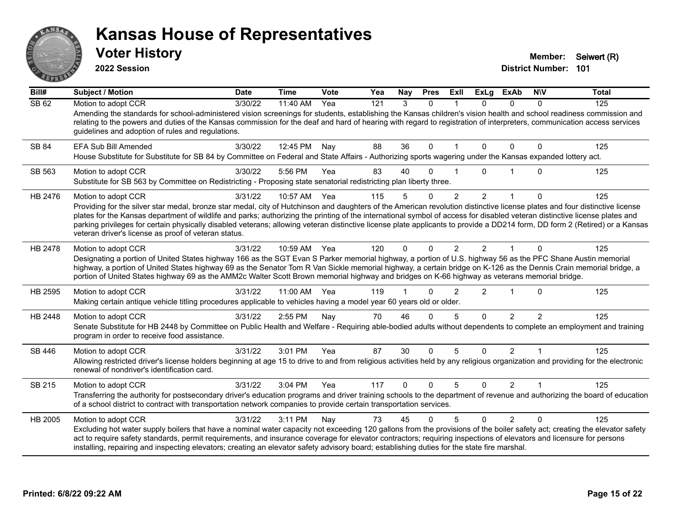

**2022 Session**

**District Number: 101 Voter History Member:** Seiwert (R)

**Bill# Subject / Motion Date Time Vote Yea Nay Pres Exll ExLg ExAb N\V Total** SB 62 Motion to adopt CCR 3/30/22 11:40 AM Yea 121 3 0 1 0 0 0 125 Amending the standards for school-administered vision screenings for students, establishing the Kansas children's vision health and school readiness commission and relating to the powers and duties of the Kansas commission for the deaf and hard of hearing with regard to registration of interpreters, communication access services guidelines and adoption of rules and regulations. SB 84 EFA Sub Bill Amended 3/30/22 12:45 PM Nav 88 36 0 1 0 0 0 125 House Substitute for Substitute for SB 84 by Committee on Federal and State Affairs - Authorizing sports wagering under the Kansas expanded lottery act. SB 563 Motion to adopt CCR 3/30/22 5:56 PM Yea 83 40 0 1 0 1 0 125 Substitute for SB 563 by Committee on Redistricting - Proposing state senatorial redistricting plan liberty three. HB 2476 Motion to adopt CCR and the 3/31/22 10:57 AM Yea 115 5 0 2 2 1 0 125 Providing for the silver star medal, bronze star medal, city of Hutchinson and daughters of the American revolution distinctive license plates and four distinctive license plates for the Kansas department of wildlife and parks; authorizing the printing of the international symbol of access for disabled veteran distinctive license plates and parking privileges for certain physically disabled veterans; allowing veteran distinctive license plate applicants to provide a DD214 form, DD form 2 (Retired) or a Kansas veteran driver's license as proof of veteran status. HB 2478 Motion to adopt CCR  $\frac{3}{31/22}$  10:59 AM Yea 120 0 0 2 2 1 0 125 Designating a portion of United States highway 166 as the SGT Evan S Parker memorial highway, a portion of U.S. highway 56 as the PFC Shane Austin memorial highway, a portion of United States highway 69 as the Senator Tom R Van Sickle memorial highway, a certain bridge on K-126 as the Dennis Crain memorial bridge, a portion of United States highway 69 as the AMM2c Walter Scott Brown memorial highway and bridges on K-66 highway as veterans memorial bridge. HB 2595 Motion to adopt CCR and the 3/31/22 11:00 AM Yea 119 1 0 2 2 1 0 125 Making certain antique vehicle titling procedures applicable to vehicles having a model year 60 years old or older. HB 2448 Motion to adopt CCR 3/31/22 2:55 PM Nay 70 46 0 5 0 2 2 125 Senate Substitute for HB 2448 by Committee on Public Health and Welfare - Requiring able-bodied adults without dependents to complete an employment and training program in order to receive food assistance. SB 446 Motion to adopt CCR 3/31/22 3:01 PM Yea 87 30 0 5 0 2 1 125 Allowing restricted driver's license holders beginning at age 15 to drive to and from religious activities held by any religious organization and providing for the electronic renewal of nondriver's identification card. SB 215 Motion to adopt CCR 3/31/22 3:04 PM Yea 117 0 0 5 0 2 1 125 Transferring the authority for postsecondary driver's education programs and driver training schools to the department of revenue and authorizing the board of education of a school district to contract with transportation network companies to provide certain transportation services. HB 2005 Motion to adopt CCR 3/31/22 3:11 PM Nay 73 45 0 5 0 2 0 125 Excluding hot water supply boilers that have a nominal water capacity not exceeding 120 gallons from the provisions of the boiler safety act; creating the elevator safety act to require safety standards, permit requirements, and insurance coverage for elevator contractors; requiring inspections of elevators and licensure for persons installing, repairing and inspecting elevators; creating an elevator safety advisory board; establishing duties for the state fire marshal.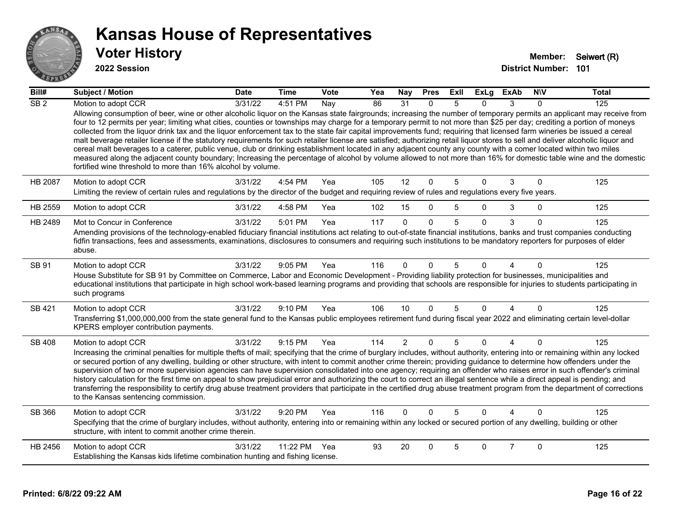

| Bill#            | <b>Subject / Motion</b>                                                                                                                                                                                                                                                                                                                                                                                                                                                                                                                                                                                                                                                                                                                                                                                                                                                                                                                                                                                                                                                                                                                          | <b>Date</b> | <b>Time</b> | Vote | Yea | Nay            | <b>Pres</b>  | ExIl           | <b>ExLg</b> | <b>ExAb</b>    | <b>NIV</b>   | <b>Total</b> |
|------------------|--------------------------------------------------------------------------------------------------------------------------------------------------------------------------------------------------------------------------------------------------------------------------------------------------------------------------------------------------------------------------------------------------------------------------------------------------------------------------------------------------------------------------------------------------------------------------------------------------------------------------------------------------------------------------------------------------------------------------------------------------------------------------------------------------------------------------------------------------------------------------------------------------------------------------------------------------------------------------------------------------------------------------------------------------------------------------------------------------------------------------------------------------|-------------|-------------|------|-----|----------------|--------------|----------------|-------------|----------------|--------------|--------------|
| $\overline{SB2}$ | Motion to adopt CCR<br>Allowing consumption of beer, wine or other alcoholic liquor on the Kansas state fairgrounds; increasing the number of temporary permits an applicant may receive from<br>four to 12 permits per year; limiting what cities, counties or townships may charge for a temporary permit to not more than \$25 per day; crediting a portion of moneys<br>collected from the liquor drink tax and the liquor enforcement tax to the state fair capital improvements fund; requiring that licensed farm wineries be issued a cereal<br>malt beverage retailer license if the statutory requirements for such retailer license are satisfied; authorizing retail liquor stores to sell and deliver alcoholic liquor and<br>cereal malt beverages to a caterer, public venue, club or drinking establishment located in any adjacent county any county with a comer located within two miles<br>measured along the adjacent county boundary; Increasing the percentage of alcohol by volume allowed to not more than 16% for domestic table wine and the domestic<br>fortified wine threshold to more than 16% alcohol by volume. | 3/31/22     | 4:51 PM     | Nay  | 86  | 31             | $\Omega$     | .5             | $\Omega$    | 3              | 0            | 125          |
| <b>HB 2087</b>   | Motion to adopt CCR<br>Limiting the review of certain rules and regulations by the director of the budget and requiring review of rules and regulations every five years.                                                                                                                                                                                                                                                                                                                                                                                                                                                                                                                                                                                                                                                                                                                                                                                                                                                                                                                                                                        | 3/31/22     | 4:54 PM     | Yea  | 105 | 12             | $\mathbf 0$  | 5              | $\Omega$    | 3              | $\mathbf 0$  | 125          |
| HB 2559          | Motion to adopt CCR                                                                                                                                                                                                                                                                                                                                                                                                                                                                                                                                                                                                                                                                                                                                                                                                                                                                                                                                                                                                                                                                                                                              | 3/31/22     | 4:58 PM     | Yea  | 102 | 15             | $\mathbf{0}$ | 5              | 0           | 3              | 0            | 125          |
| HB 2489          | Mot to Concur in Conference<br>Amending provisions of the technology-enabled fiduciary financial institutions act relating to out-of-state financial institutions, banks and trust companies conducting<br>fidfin transactions, fees and assessments, examinations, disclosures to consumers and requiring such institutions to be mandatory reporters for purposes of elder<br>abuse.                                                                                                                                                                                                                                                                                                                                                                                                                                                                                                                                                                                                                                                                                                                                                           | 3/31/22     | 5:01 PM     | Yea  | 117 | $\Omega$       | $\Omega$     | $\overline{5}$ | $\Omega$    | 3              | $\Omega$     | 125          |
| SB 91            | Motion to adopt CCR<br>House Substitute for SB 91 by Committee on Commerce, Labor and Economic Development - Providing liability protection for businesses, municipalities and<br>educational institutions that participate in high school work-based learning programs and providing that schools are responsible for injuries to students participating in<br>such programs                                                                                                                                                                                                                                                                                                                                                                                                                                                                                                                                                                                                                                                                                                                                                                    | 3/31/22     | $9:05$ PM   | Yea  | 116 | $\Omega$       | <sup>0</sup> | 5              | n           |                | $\Omega$     | 125          |
| <b>SB 421</b>    | Motion to adopt CCR<br>Transferring \$1,000,000,000 from the state general fund to the Kansas public employees retirement fund during fiscal year 2022 and eliminating certain level-dollar<br>KPERS employer contribution payments.                                                                                                                                                                                                                                                                                                                                                                                                                                                                                                                                                                                                                                                                                                                                                                                                                                                                                                             | 3/31/22     | 9:10 PM     | Yea  | 106 | 10             | $\Omega$     | 5              | $\Omega$    | $\overline{A}$ | $\mathbf{0}$ | 125          |
| <b>SB 408</b>    | Motion to adopt CCR<br>Increasing the criminal penalties for multiple thefts of mail; specifying that the crime of burglary includes, without authority, entering into or remaining within any locked<br>or secured portion of any dwelling, building or other structure, with intent to commit another crime therein; providing guidance to determine how offenders under the<br>supervision of two or more supervision agencies can have supervision consolidated into one agency; requiring an offender who raises error in such offender's criminal<br>history calculation for the first time on appeal to show prejudicial error and authorizing the court to correct an illegal sentence while a direct appeal is pending; and<br>transferring the responsibility to certify drug abuse treatment providers that participate in the certified drug abuse treatment program from the department of corrections<br>to the Kansas sentencing commission.                                                                                                                                                                                      | 3/31/22     | 9:15 PM     | Yea  | 114 | $\overline{2}$ | $\Omega$     | 5              | $\Omega$    | $\overline{4}$ | $\Omega$     | 125          |
| SB 366           | Motion to adopt CCR<br>Specifying that the crime of burglary includes, without authority, entering into or remaining within any locked or secured portion of any dwelling, building or other<br>structure, with intent to commit another crime therein.                                                                                                                                                                                                                                                                                                                                                                                                                                                                                                                                                                                                                                                                                                                                                                                                                                                                                          | 3/31/22     | $9:20$ PM   | Yea  | 116 | $\Omega$       | $\Omega$     | 5              | 0           | Λ              | $\Omega$     | 125          |
| HB 2456          | Motion to adopt CCR<br>Establishing the Kansas kids lifetime combination hunting and fishing license.                                                                                                                                                                                                                                                                                                                                                                                                                                                                                                                                                                                                                                                                                                                                                                                                                                                                                                                                                                                                                                            | 3/31/22     | 11:22 PM    | Yea  | 93  | 20             | $\Omega$     | 5              | 0           | $\overline{7}$ | $\Omega$     | 125          |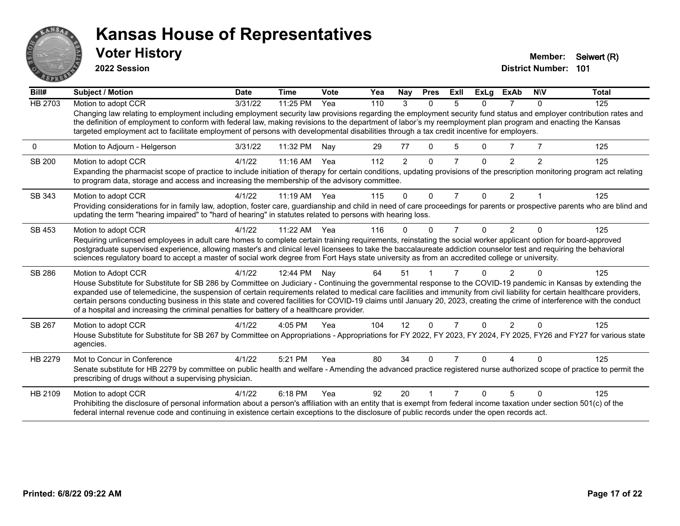

**2022 Session**

**District Number: 101 Voter History Member:** Seiwert (R)

| Bill#   | <b>Subject / Motion</b>                                                                                                                                                                                                                                                                                                                                                                                                                                                                                                                                                                                                 | <b>Date</b> | <b>Time</b>  | Vote | Yea | Nay           | <b>Pres</b> | ExII           | <b>ExLg</b> | <b>ExAb</b>    | <b>NIV</b>    | <b>Total</b> |
|---------|-------------------------------------------------------------------------------------------------------------------------------------------------------------------------------------------------------------------------------------------------------------------------------------------------------------------------------------------------------------------------------------------------------------------------------------------------------------------------------------------------------------------------------------------------------------------------------------------------------------------------|-------------|--------------|------|-----|---------------|-------------|----------------|-------------|----------------|---------------|--------------|
| HB 2703 | Motion to adopt CCR                                                                                                                                                                                                                                                                                                                                                                                                                                                                                                                                                                                                     | 3/31/22     | 11:25 PM     | Yea  | 110 | 3             | $\Omega$    | 5              | 0           |                | 0             | 125          |
|         | Changing law relating to employment including employment security law provisions regarding the employment security fund status and employer contribution rates and<br>the definition of employment to conform with federal law, making revisions to the department of labor's my reemployment plan program and enacting the Kansas<br>targeted employment act to facilitate employment of persons with developmental disabilities through a tax credit incentive for employers.                                                                                                                                         |             |              |      |     |               |             |                |             |                |               |              |
| 0       | Motion to Adjourn - Helgerson                                                                                                                                                                                                                                                                                                                                                                                                                                                                                                                                                                                           | 3/31/22     | 11:32 PM     | Nav  | 29  | 77            | $\Omega$    | 5              | $\Omega$    | 7              |               | 125          |
| SB 200  | Motion to adopt CCR<br>Expanding the pharmacist scope of practice to include initiation of therapy for certain conditions, updating provisions of the prescription monitoring program act relating<br>to program data, storage and access and increasing the membership of the advisory committee.                                                                                                                                                                                                                                                                                                                      | 4/1/22      | 11:16 AM     | Yea  | 112 | $\mathcal{P}$ | $\Omega$    |                | $\Omega$    | 2              | $\mathcal{P}$ | 125          |
| SB 343  | Motion to adopt CCR                                                                                                                                                                                                                                                                                                                                                                                                                                                                                                                                                                                                     | 4/1/22      | 11:19 AM Yea |      | 115 | $\Omega$      | $\Omega$    | $\overline{7}$ | $\Omega$    | 2              |               | 125          |
|         | Providing considerations for in family law, adoption, foster care, guardianship and child in need of care proceedings for parents or prospective parents who are blind and<br>updating the term "hearing impaired" to "hard of hearing" in statutes related to persons with hearing loss.                                                                                                                                                                                                                                                                                                                               |             |              |      |     |               |             |                |             |                |               |              |
| SB 453  | Motion to adopt CCR                                                                                                                                                                                                                                                                                                                                                                                                                                                                                                                                                                                                     | 4/1/22      | 11:22 AM     | Yea  | 116 | ∩             | $\Omega$    | 7              | $\Omega$    | $\mathcal{P}$  |               | 125          |
|         | Requiring unlicensed employees in adult care homes to complete certain training requirements, reinstating the social worker applicant option for board-approved<br>postgraduate supervised experience, allowing master's and clinical level licensees to take the baccalaureate addiction counselor test and requiring the behavioral<br>sciences regulatory board to accept a master of social work degree from Fort Hays state university as from an accredited college or university.                                                                                                                                |             |              |      |     |               |             |                |             |                |               |              |
| SB 286  | Motion to Adopt CCR                                                                                                                                                                                                                                                                                                                                                                                                                                                                                                                                                                                                     | 4/1/22      | 12:44 PM     | Nay  | 64  | 51            |             |                |             | $\mathfrak{p}$ |               | 125          |
|         | House Substitute for Substitute for SB 286 by Committee on Judiciary - Continuing the governmental response to the COVID-19 pandemic in Kansas by extending the<br>expanded use of telemedicine, the suspension of certain requirements related to medical care facilities and immunity from civil liability for certain healthcare providers,<br>certain persons conducting business in this state and covered facilities for COVID-19 claims until January 20, 2023, creating the crime of interference with the conduct<br>of a hospital and increasing the criminal penalties for battery of a healthcare provider. |             |              |      |     |               |             |                |             |                |               |              |
| SB 267  | Motion to adopt CCR                                                                                                                                                                                                                                                                                                                                                                                                                                                                                                                                                                                                     | 4/1/22      | $4:05$ PM    | Yea  | 104 | 12            | $\Omega$    |                | $\Omega$    | 2              | 0             | 125          |
|         | House Substitute for Substitute for SB 267 by Committee on Appropriations - Appropriations for FY 2022, FY 2023, FY 2024, FY 2025, FY26 and FY27 for various state<br>agencies.                                                                                                                                                                                                                                                                                                                                                                                                                                         |             |              |      |     |               |             |                |             |                |               |              |
| HB 2279 | Mot to Concur in Conference                                                                                                                                                                                                                                                                                                                                                                                                                                                                                                                                                                                             | 4/1/22      | 5:21 PM      | Yea  | 80  | 34            | $\Omega$    |                | U           |                |               | 125          |
|         | Senate substitute for HB 2279 by committee on public health and welfare - Amending the advanced practice registered nurse authorized scope of practice to permit the<br>prescribing of drugs without a supervising physician.                                                                                                                                                                                                                                                                                                                                                                                           |             |              |      |     |               |             |                |             |                |               |              |
| HB 2109 | Motion to adopt CCR                                                                                                                                                                                                                                                                                                                                                                                                                                                                                                                                                                                                     | 4/1/22      | 6:18 PM      | Yea  | 92  | 20            |             |                | $\Omega$    | 5              | <sup>0</sup>  | 125          |
|         | Prohibiting the disclosure of personal information about a person's affiliation with an entity that is exempt from federal income taxation under section 501(c) of the<br>federal internal revenue code and continuing in existence certain exceptions to the disclosure of public records under the open records act.                                                                                                                                                                                                                                                                                                  |             |              |      |     |               |             |                |             |                |               |              |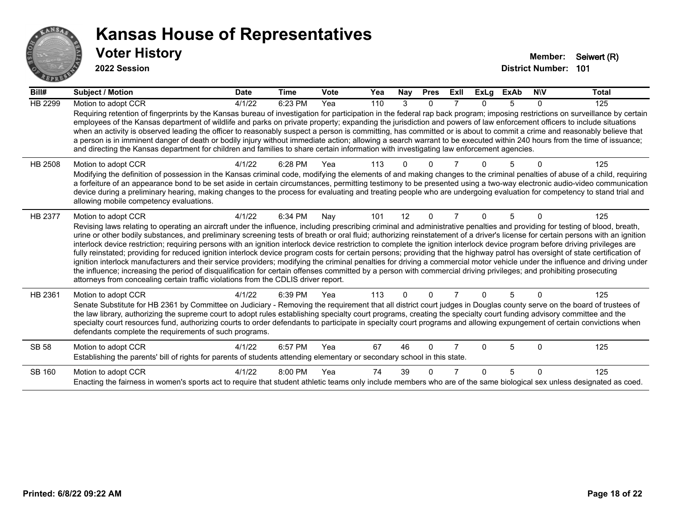

| Bill#          | Subject / Motion                                                                                                                                                                                                                                                                                                                                                                                                                                                                                                                                                                                                                                                                                                                                                                                                                                                                                                                                                                                                                                                                                                                                                                                      | <b>Date</b> | <b>Time</b> | Vote | Yea | <b>Nay</b> | <b>Pres</b> | ExII | <b>ExLg</b> | <b>ExAb</b> | <b>NIV</b> | <b>Total</b> |
|----------------|-------------------------------------------------------------------------------------------------------------------------------------------------------------------------------------------------------------------------------------------------------------------------------------------------------------------------------------------------------------------------------------------------------------------------------------------------------------------------------------------------------------------------------------------------------------------------------------------------------------------------------------------------------------------------------------------------------------------------------------------------------------------------------------------------------------------------------------------------------------------------------------------------------------------------------------------------------------------------------------------------------------------------------------------------------------------------------------------------------------------------------------------------------------------------------------------------------|-------------|-------------|------|-----|------------|-------------|------|-------------|-------------|------------|--------------|
| HB 2299        | Motion to adopt CCR                                                                                                                                                                                                                                                                                                                                                                                                                                                                                                                                                                                                                                                                                                                                                                                                                                                                                                                                                                                                                                                                                                                                                                                   | 4/1/22      | 6:23 PM     | Yea  | 110 | 3          | $\Omega$    |      | n.          | 5           | $\Omega$   | 125          |
|                | Requiring retention of fingerprints by the Kansas bureau of investigation for participation in the federal rap back program; imposing restrictions on surveillance by certain<br>employees of the Kansas department of wildlife and parks on private property; expanding the jurisdiction and powers of law enforcement officers to include situations<br>when an activity is observed leading the officer to reasonably suspect a person is committing, has committed or is about to commit a crime and reasonably believe that<br>a person is in imminent danger of death or bodily injury without immediate action; allowing a search warrant to be executed within 240 hours from the time of issuance;<br>and directing the Kansas department for children and families to share certain information with investigating law enforcement agencies.                                                                                                                                                                                                                                                                                                                                                |             |             |      |     |            |             |      |             |             |            |              |
| <b>HB 2508</b> | Motion to adopt CCR<br>Modifying the definition of possession in the Kansas criminal code, modifying the elements of and making changes to the criminal penalties of abuse of a child, requiring<br>a forfeiture of an appearance bond to be set aside in certain circumstances, permitting testimony to be presented using a two-way electronic audio-video communication<br>device during a preliminary hearing, making changes to the process for evaluating and treating people who are undergoing evaluation for competency to stand trial and<br>allowing mobile competency evaluations.                                                                                                                                                                                                                                                                                                                                                                                                                                                                                                                                                                                                        | 4/1/22      | 6:28 PM     | Yea  | 113 |            |             |      |             |             |            | 125          |
| HB 2377        | Motion to adopt CCR<br>Revising laws relating to operating an aircraft under the influence, including prescribing criminal and administrative penalties and providing for testing of blood, breath,<br>urine or other bodily substances, and preliminary screening tests of breath or oral fluid; authorizing reinstatement of a driver's license for certain persons with an ignition<br>interlock device restriction; requiring persons with an ignition interlock device restriction to complete the ignition interlock device program before driving privileges are<br>fully reinstated; providing for reduced ignition interlock device program costs for certain persons; providing that the highway patrol has oversight of state certification of<br>ignition interlock manufacturers and their service providers; modifying the criminal penalties for driving a commercial motor vehicle under the influence and driving under<br>the influence; increasing the period of disqualification for certain offenses committed by a person with commercial driving privileges; and prohibiting prosecuting<br>attorneys from concealing certain traffic violations from the CDLIS driver report. | 4/1/22      | 6:34 PM     | Nay  | 101 | 12         | $\Omega$    |      | 0           | 5           | 0          | 125          |
| HB 2361        | Motion to adopt CCR<br>Senate Substitute for HB 2361 by Committee on Judiciary - Removing the requirement that all district court judges in Douglas county serve on the board of trustees of<br>the law library, authorizing the supreme court to adopt rules establishing specialty court programs, creating the specialty court funding advisory committee and the<br>specialty court resources fund, authorizing courts to order defendants to participate in specialty court programs and allowing expungement of certain convictions when<br>defendants complete the requirements of such programs.                                                                                                                                                                                                                                                                                                                                                                                                                                                                                                                                                                                              | 4/1/22      | 6:39 PM     | Yea  | 113 | $\Omega$   | $\Omega$    |      | 0           | 5           | $\Omega$   | 125          |
| SB 58          | Motion to adopt CCR<br>Establishing the parents' bill of rights for parents of students attending elementary or secondary school in this state.                                                                                                                                                                                                                                                                                                                                                                                                                                                                                                                                                                                                                                                                                                                                                                                                                                                                                                                                                                                                                                                       | 4/1/22      | 6:57 PM     | Yea  | 67  | 46         | $\Omega$    |      | n           | 5           | $\Omega$   | 125          |
| SB 160         | Motion to adopt CCR<br>Enacting the fairness in women's sports act to require that student athletic teams only include members who are of the same biological sex unless designated as coed.                                                                                                                                                                                                                                                                                                                                                                                                                                                                                                                                                                                                                                                                                                                                                                                                                                                                                                                                                                                                          | 4/1/22      | 8:00 PM     | Yea  | 74  | 39         |             |      |             | 5           | ∩          | 125          |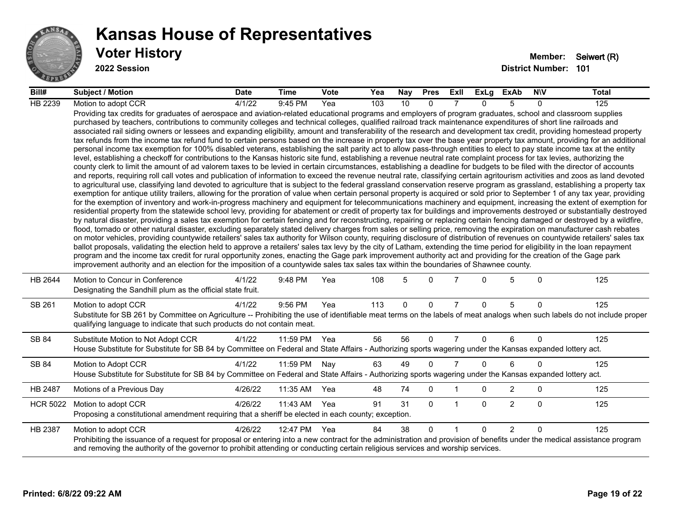

| Bill#           | <b>Subject / Motion</b>                                                                                                                                                                                                                                                                                                                                                                                                                                                                                                                                                                                                                                                                                                                                                                                                                                                                                                                                                                                                                                                                                                                                                                                                                                                                                                                                                                                                                                                                                                                                                                                                                                                                                                                                                                                                                                                                                                                                                                                                                                                                                                                                                                                                                                                                                                                                                                                                                                                                                                                                                                                                                                                                                                                                                                                                                                                                                                                                                                                                                                                                                                                                                     | <b>Date</b> | Time     | <b>Vote</b> | Yea | Nay | <b>Pres</b>  | ExII           | ExLg     | <b>ExAb</b>    | <b>NIV</b>   | <b>Total</b> |
|-----------------|-----------------------------------------------------------------------------------------------------------------------------------------------------------------------------------------------------------------------------------------------------------------------------------------------------------------------------------------------------------------------------------------------------------------------------------------------------------------------------------------------------------------------------------------------------------------------------------------------------------------------------------------------------------------------------------------------------------------------------------------------------------------------------------------------------------------------------------------------------------------------------------------------------------------------------------------------------------------------------------------------------------------------------------------------------------------------------------------------------------------------------------------------------------------------------------------------------------------------------------------------------------------------------------------------------------------------------------------------------------------------------------------------------------------------------------------------------------------------------------------------------------------------------------------------------------------------------------------------------------------------------------------------------------------------------------------------------------------------------------------------------------------------------------------------------------------------------------------------------------------------------------------------------------------------------------------------------------------------------------------------------------------------------------------------------------------------------------------------------------------------------------------------------------------------------------------------------------------------------------------------------------------------------------------------------------------------------------------------------------------------------------------------------------------------------------------------------------------------------------------------------------------------------------------------------------------------------------------------------------------------------------------------------------------------------------------------------------------------------------------------------------------------------------------------------------------------------------------------------------------------------------------------------------------------------------------------------------------------------------------------------------------------------------------------------------------------------------------------------------------------------------------------------------------------------|-------------|----------|-------------|-----|-----|--------------|----------------|----------|----------------|--------------|--------------|
| HB 2239         | Motion to adopt CCR                                                                                                                                                                                                                                                                                                                                                                                                                                                                                                                                                                                                                                                                                                                                                                                                                                                                                                                                                                                                                                                                                                                                                                                                                                                                                                                                                                                                                                                                                                                                                                                                                                                                                                                                                                                                                                                                                                                                                                                                                                                                                                                                                                                                                                                                                                                                                                                                                                                                                                                                                                                                                                                                                                                                                                                                                                                                                                                                                                                                                                                                                                                                                         | 4/1/22      | 9:45 PM  | Yea         | 103 | 10  | $\Omega$     |                | $\Omega$ | 5              | 0            | 125          |
|                 | Providing tax credits for graduates of aerospace and aviation-related educational programs and employers of program graduates, school and classroom supplies<br>purchased by teachers, contributions to community colleges and technical colleges, qualified railroad track maintenance expenditures of short line railroads and<br>associated rail siding owners or lessees and expanding eligibility, amount and transferability of the research and development tax credit, providing homestead property<br>tax refunds from the income tax refund fund to certain persons based on the increase in property tax over the base year property tax amount, providing for an additional<br>personal income tax exemption for 100% disabled veterans, establishing the salt parity act to allow pass-through entities to elect to pay state income tax at the entity<br>level, establishing a checkoff for contributions to the Kansas historic site fund, establishing a revenue neutral rate complaint process for tax levies, authorizing the<br>county clerk to limit the amount of ad valorem taxes to be levied in certain circumstances, establishing a deadline for budgets to be filed with the director of accounts<br>and reports, requiring roll call votes and publication of information to exceed the revenue neutral rate, classifying certain agritourism activities and zoos as land devoted<br>to agricultural use, classifying land devoted to agriculture that is subject to the federal grassland conservation reserve program as grassland, establishing a property tax<br>exemption for antique utility trailers, allowing for the proration of value when certain personal property is acquired or sold prior to September 1 of any tax year, providing<br>for the exemption of inventory and work-in-progress machinery and equipment for telecommunications machinery and equipment, increasing the extent of exemption for<br>residential property from the statewide school levy, providing for abatement or credit of property tax for buildings and improvements destroyed or substantially destroyed<br>by natural disaster, providing a sales tax exemption for certain fencing and for reconstructing, repairing or replacing certain fencing damaged or destroyed by a wildfire,<br>flood, tornado or other natural disaster, excluding separately stated delivery charges from sales or selling price, removing the expiration on manufacturer cash rebates<br>on motor vehicles, providing countywide retailers' sales tax authority for Wilson county, requiring disclosure of distribution of revenues on countywide retailers' sales tax<br>ballot proposals, validating the election held to approve a retailers' sales tax levy by the city of Latham, extending the time period for eligibility in the loan repayment<br>program and the income tax credit for rural opportunity zones, enacting the Gage park improvement authority act and providing for the creation of the Gage park<br>improvement authority and an election for the imposition of a countywide sales tax sales tax within the boundaries of Shawnee county. |             |          |             |     |     |              |                |          |                |              |              |
| HB 2644         | Motion to Concur in Conference<br>Designating the Sandhill plum as the official state fruit.                                                                                                                                                                                                                                                                                                                                                                                                                                                                                                                                                                                                                                                                                                                                                                                                                                                                                                                                                                                                                                                                                                                                                                                                                                                                                                                                                                                                                                                                                                                                                                                                                                                                                                                                                                                                                                                                                                                                                                                                                                                                                                                                                                                                                                                                                                                                                                                                                                                                                                                                                                                                                                                                                                                                                                                                                                                                                                                                                                                                                                                                                | 4/1/22      | 9:48 PM  | Yea         | 108 | 5   | $\Omega$     |                | 0        | 5              | $\Omega$     | 125          |
| SB 261          | Motion to adopt CCR<br>Substitute for SB 261 by Committee on Agriculture -- Prohibiting the use of identifiable meat terms on the labels of meat analogs when such labels do not include proper<br>qualifying language to indicate that such products do not contain meat.                                                                                                                                                                                                                                                                                                                                                                                                                                                                                                                                                                                                                                                                                                                                                                                                                                                                                                                                                                                                                                                                                                                                                                                                                                                                                                                                                                                                                                                                                                                                                                                                                                                                                                                                                                                                                                                                                                                                                                                                                                                                                                                                                                                                                                                                                                                                                                                                                                                                                                                                                                                                                                                                                                                                                                                                                                                                                                  | 4/1/22      | 9:56 PM  | Yea         | 113 | 0   | $\Omega$     | $\overline{7}$ | $\Omega$ | 5              | $\Omega$     | 125          |
| SB 84           | Substitute Motion to Not Adopt CCR<br>House Substitute for Substitute for SB 84 by Committee on Federal and State Affairs - Authorizing sports wagering under the Kansas expanded lottery act.                                                                                                                                                                                                                                                                                                                                                                                                                                                                                                                                                                                                                                                                                                                                                                                                                                                                                                                                                                                                                                                                                                                                                                                                                                                                                                                                                                                                                                                                                                                                                                                                                                                                                                                                                                                                                                                                                                                                                                                                                                                                                                                                                                                                                                                                                                                                                                                                                                                                                                                                                                                                                                                                                                                                                                                                                                                                                                                                                                              | 4/1/22      | 11:59 PM | Yea         | 56  | 56  | $\mathbf{0}$ |                | $\Omega$ | 6              | $\mathbf{0}$ | 125          |
| SB 84           | Motion to Adopt CCR<br>House Substitute for Substitute for SB 84 by Committee on Federal and State Affairs - Authorizing sports wagering under the Kansas expanded lottery act.                                                                                                                                                                                                                                                                                                                                                                                                                                                                                                                                                                                                                                                                                                                                                                                                                                                                                                                                                                                                                                                                                                                                                                                                                                                                                                                                                                                                                                                                                                                                                                                                                                                                                                                                                                                                                                                                                                                                                                                                                                                                                                                                                                                                                                                                                                                                                                                                                                                                                                                                                                                                                                                                                                                                                                                                                                                                                                                                                                                             | 4/1/22      | 11:59 PM | Nay         | 63  | 49  | $\Omega$     | $\overline{7}$ | $\Omega$ | 6              | $\Omega$     | 125          |
| HB 2487         | Motions of a Previous Day                                                                                                                                                                                                                                                                                                                                                                                                                                                                                                                                                                                                                                                                                                                                                                                                                                                                                                                                                                                                                                                                                                                                                                                                                                                                                                                                                                                                                                                                                                                                                                                                                                                                                                                                                                                                                                                                                                                                                                                                                                                                                                                                                                                                                                                                                                                                                                                                                                                                                                                                                                                                                                                                                                                                                                                                                                                                                                                                                                                                                                                                                                                                                   | 4/26/22     | 11:35 AM | Yea         | 48  | 74  | $\mathbf 0$  |                | 0        | $\overline{2}$ | 0            | 125          |
| <b>HCR 5022</b> | Motion to adopt CCR<br>Proposing a constitutional amendment requiring that a sheriff be elected in each county; exception.                                                                                                                                                                                                                                                                                                                                                                                                                                                                                                                                                                                                                                                                                                                                                                                                                                                                                                                                                                                                                                                                                                                                                                                                                                                                                                                                                                                                                                                                                                                                                                                                                                                                                                                                                                                                                                                                                                                                                                                                                                                                                                                                                                                                                                                                                                                                                                                                                                                                                                                                                                                                                                                                                                                                                                                                                                                                                                                                                                                                                                                  | 4/26/22     | 11:43 AM | Yea         | 91  | 31  | $\mathbf{0}$ | $\mathbf{1}$   | $\Omega$ | $\overline{2}$ | $\Omega$     | 125          |
| HB 2387         | Motion to adopt CCR<br>Prohibiting the issuance of a request for proposal or entering into a new contract for the administration and provision of benefits under the medical assistance program<br>and removing the authority of the governor to prohibit attending or conducting certain religious services and worship services.                                                                                                                                                                                                                                                                                                                                                                                                                                                                                                                                                                                                                                                                                                                                                                                                                                                                                                                                                                                                                                                                                                                                                                                                                                                                                                                                                                                                                                                                                                                                                                                                                                                                                                                                                                                                                                                                                                                                                                                                                                                                                                                                                                                                                                                                                                                                                                                                                                                                                                                                                                                                                                                                                                                                                                                                                                          | 4/26/22     | 12:47 PM | Yea         | 84  | 38  | $\Omega$     | $\overline{1}$ | $\Omega$ | $\overline{2}$ | $\Omega$     | 125          |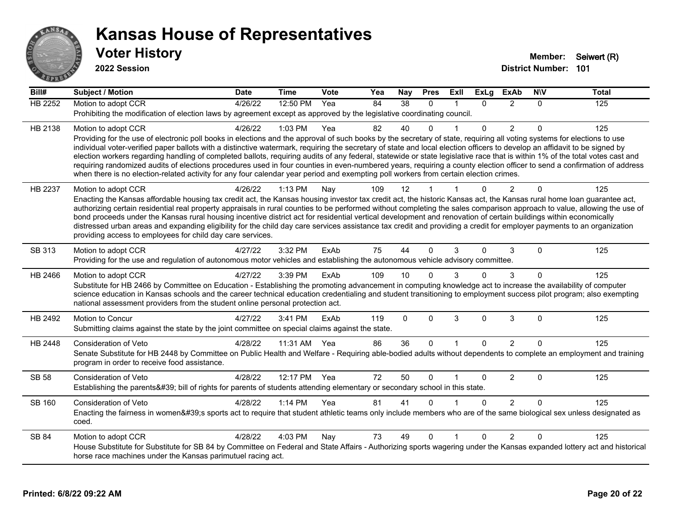

| Bill#          | <b>Subject / Motion</b>                                                                                                                                                                                                                                                                                                                                    | <b>Date</b> | <b>Time</b> | Vote | Yea | Nay          | <b>Pres</b> | Exll           | <b>ExLg</b> | <b>ExAb</b>    | <b>NIV</b>  | <b>Total</b> |
|----------------|------------------------------------------------------------------------------------------------------------------------------------------------------------------------------------------------------------------------------------------------------------------------------------------------------------------------------------------------------------|-------------|-------------|------|-----|--------------|-------------|----------------|-------------|----------------|-------------|--------------|
| <b>HB 2252</b> | Motion to adopt CCR                                                                                                                                                                                                                                                                                                                                        | 4/26/22     | 12:50 PM    | Yea  | 84  | 38           | $\Omega$    | -1             | $\Omega$    | 2              | $\Omega$    | 125          |
|                | Prohibiting the modification of election laws by agreement except as approved by the legislative coordinating council.                                                                                                                                                                                                                                     |             |             |      |     |              |             |                |             |                |             |              |
| HB 2138        | Motion to adopt CCR                                                                                                                                                                                                                                                                                                                                        | 4/26/22     | 1:03 PM     | Yea  | 82  | 40           | $\Omega$    |                | $\Omega$    | $\overline{2}$ | $\Omega$    | 125          |
|                | Providing for the use of electronic poll books in elections and the approval of such books by the secretary of state, requiring all voting systems for elections to use                                                                                                                                                                                    |             |             |      |     |              |             |                |             |                |             |              |
|                | individual voter-verified paper ballots with a distinctive watermark, requiring the secretary of state and local election officers to develop an affidavit to be signed by<br>election workers regarding handling of completed ballots, requiring audits of any federal, statewide or state legislative race that is within 1% of the total votes cast and |             |             |      |     |              |             |                |             |                |             |              |
|                | requiring randomized audits of elections procedures used in four counties in even-numbered years, requiring a county election officer to send a confirmation of address                                                                                                                                                                                    |             |             |      |     |              |             |                |             |                |             |              |
|                | when there is no election-related activity for any four calendar year period and exempting poll workers from certain election crimes.                                                                                                                                                                                                                      |             |             |      |     |              |             |                |             |                |             |              |
| HB 2237        | Motion to adopt CCR                                                                                                                                                                                                                                                                                                                                        | 4/26/22     | 1:13 PM     | Nay  | 109 | 12           |             |                | 0           | 2              | $\Omega$    | 125          |
|                | Enacting the Kansas affordable housing tax credit act, the Kansas housing investor tax credit act, the historic Kansas act, the Kansas rural home loan guarantee act,                                                                                                                                                                                      |             |             |      |     |              |             |                |             |                |             |              |
|                | authorizing certain residential real property appraisals in rural counties to be performed without completing the sales comparison approach to value, allowing the use of<br>bond proceeds under the Kansas rural housing incentive district act for residential vertical development and renovation of certain buildings within economically              |             |             |      |     |              |             |                |             |                |             |              |
|                | distressed urban areas and expanding eligibility for the child day care services assistance tax credit and providing a credit for employer payments to an organization                                                                                                                                                                                     |             |             |      |     |              |             |                |             |                |             |              |
|                | providing access to employees for child day care services.                                                                                                                                                                                                                                                                                                 |             |             |      |     |              |             |                |             |                |             |              |
| SB 313         | Motion to adopt CCR                                                                                                                                                                                                                                                                                                                                        | 4/27/22     | 3:32 PM     | ExAb | 75  | 44           | $\Omega$    | 3              | $\Omega$    | 3              | $\Omega$    | 125          |
|                | Providing for the use and regulation of autonomous motor vehicles and establishing the autonomous vehicle advisory committee.                                                                                                                                                                                                                              |             |             |      |     |              |             |                |             |                |             |              |
| HB 2466        | Motion to adopt CCR                                                                                                                                                                                                                                                                                                                                        | 4/27/22     | 3:39 PM     | ExAb | 109 | 10           | $\Omega$    |                | 0           | 3              | $\Omega$    | 125          |
|                | Substitute for HB 2466 by Committee on Education - Establishing the promoting advancement in computing knowledge act to increase the availability of computer                                                                                                                                                                                              |             |             |      |     |              |             |                |             |                |             |              |
|                | science education in Kansas schools and the career technical education credentialing and student transitioning to employment success pilot program; also exempting<br>national assessment providers from the student online personal protection act.                                                                                                       |             |             |      |     |              |             |                |             |                |             |              |
| HB 2492        | Motion to Concur                                                                                                                                                                                                                                                                                                                                           | 4/27/22     | 3:41 PM     | ExAb | 119 | $\mathbf{0}$ | $\Omega$    | 3              | $\Omega$    | 3              | $\mathbf 0$ | 125          |
|                | Submitting claims against the state by the joint committee on special claims against the state.                                                                                                                                                                                                                                                            |             |             |      |     |              |             |                |             |                |             |              |
| HB 2448        | Consideration of Veto                                                                                                                                                                                                                                                                                                                                      | 4/28/22     | 11:31 AM    | Yea  | 86  | 36           | $\Omega$    | $\overline{1}$ | $\Omega$    | $\overline{2}$ | $\Omega$    | 125          |
|                | Senate Substitute for HB 2448 by Committee on Public Health and Welfare - Requiring able-bodied adults without dependents to complete an employment and training                                                                                                                                                                                           |             |             |      |     |              |             |                |             |                |             |              |
|                | program in order to receive food assistance.                                                                                                                                                                                                                                                                                                               |             |             |      |     |              |             |                |             |                |             |              |
| <b>SB 58</b>   | Consideration of Veto                                                                                                                                                                                                                                                                                                                                      | 4/28/22     | 12:17 PM    | Yea  | 72  | 50           | $\Omega$    | $\overline{1}$ | 0           | $\overline{2}$ | $\mathbf 0$ | 125          |
|                | Establishing the parents' bill of rights for parents of students attending elementary or secondary school in this state.                                                                                                                                                                                                                                   |             |             |      |     |              |             |                |             |                |             |              |
| SB 160         | Consideration of Veto                                                                                                                                                                                                                                                                                                                                      | 4/28/22     | 1:14 PM     | Yea  | 81  | 41           | $\Omega$    |                | $\Omega$    | $\overline{2}$ | $\Omega$    | 125          |
|                | Enacting the fairness in women's sports act to require that student athletic teams only include members who are of the same biological sex unless designated as                                                                                                                                                                                            |             |             |      |     |              |             |                |             |                |             |              |
|                | coed.                                                                                                                                                                                                                                                                                                                                                      |             |             |      |     |              |             |                |             |                |             |              |
| SB 84          | Motion to adopt CCR                                                                                                                                                                                                                                                                                                                                        | 4/28/22     | 4:03 PM     | Nay  | 73  | 49           | $\Omega$    |                | 0           | $\overline{2}$ | $\Omega$    | 125          |
|                | House Substitute for Substitute for SB 84 by Committee on Federal and State Affairs - Authorizing sports wagering under the Kansas expanded lottery act and historical                                                                                                                                                                                     |             |             |      |     |              |             |                |             |                |             |              |
|                | horse race machines under the Kansas parimutuel racing act.                                                                                                                                                                                                                                                                                                |             |             |      |     |              |             |                |             |                |             |              |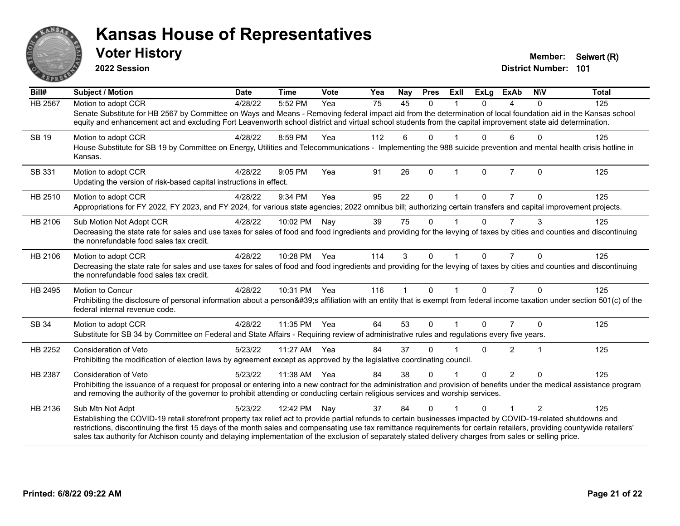

**2022 Session**

**District Number: 101 Voter History Member:** Seiwert (R)

| Bill#          | Subject / Motion                                                                                                                                                                                                                                                                                                                                                                                                                                                                                                           | <b>Date</b> | <b>Time</b>  | Vote | Yea             | Nay          | <b>Pres</b>  | ExII         | <b>ExLg</b> | ExAb           | <b>NIV</b>    | <b>Total</b> |
|----------------|----------------------------------------------------------------------------------------------------------------------------------------------------------------------------------------------------------------------------------------------------------------------------------------------------------------------------------------------------------------------------------------------------------------------------------------------------------------------------------------------------------------------------|-------------|--------------|------|-----------------|--------------|--------------|--------------|-------------|----------------|---------------|--------------|
| <b>HB 2567</b> | Motion to adopt CCR<br>Senate Substitute for HB 2567 by Committee on Ways and Means - Removing federal impact aid from the determination of local foundation aid in the Kansas school<br>equity and enhancement act and excluding Fort Leavenworth school district and virtual school students from the capital improvement state aid determination.                                                                                                                                                                       | 4/28/22     | 5:52 PM      | Yea  | $\overline{75}$ | 45           | $\Omega$     |              | $\Omega$    | 4              | $\Omega$      | 125          |
| <b>SB 19</b>   | Motion to adopt CCR<br>House Substitute for SB 19 by Committee on Energy, Utilities and Telecommunications - Implementing the 988 suicide prevention and mental health crisis hotline in<br>Kansas.                                                                                                                                                                                                                                                                                                                        | 4/28/22     | 8:59 PM      | Yea  | 112             | 6            | $\Omega$     |              | $\Omega$    | 6              | $\Omega$      | 125          |
| SB 331         | Motion to adopt CCR<br>Updating the version of risk-based capital instructions in effect.                                                                                                                                                                                                                                                                                                                                                                                                                                  | 4/28/22     | $9:05$ PM    | Yea  | 91              | 26           | $\Omega$     | $\mathbf{1}$ | $\Omega$    | $\overline{7}$ | $\Omega$      | 125          |
| HB 2510        | Motion to adopt CCR<br>Appropriations for FY 2022, FY 2023, and FY 2024, for various state agencies; 2022 omnibus bill; authorizing certain transfers and capital improvement projects.                                                                                                                                                                                                                                                                                                                                    | 4/28/22     | 9:34 PM      | Yea  | 95              | 22           | $\mathbf{0}$ |              | $\Omega$    | $\overline{7}$ | $\Omega$      | 125          |
| HB 2106        | Sub Motion Not Adopt CCR<br>Decreasing the state rate for sales and use taxes for sales of food and food ingredients and providing for the levying of taxes by cities and counties and discontinuing<br>the nonrefundable food sales tax credit.                                                                                                                                                                                                                                                                           | 4/28/22     | 10:02 PM     | Nay  | 39              | 75           | $\Omega$     |              | $\Omega$    | $\overline{7}$ | 3             | 125          |
| HB 2106        | Motion to adopt CCR<br>Decreasing the state rate for sales and use taxes for sales of food and food ingredients and providing for the levying of taxes by cities and counties and discontinuing<br>the nonrefundable food sales tax credit.                                                                                                                                                                                                                                                                                | 4/28/22     | 10:28 PM Yea |      | 114             | 3            | $\Omega$     |              | $\Omega$    | $\overline{7}$ | $\Omega$      | 125          |
| HB 2495        | Motion to Concur<br>Prohibiting the disclosure of personal information about a person's affiliation with an entity that is exempt from federal income taxation under section 501(c) of the<br>federal internal revenue code.                                                                                                                                                                                                                                                                                               | 4/28/22     | 10:31 PM Yea |      | 116             | $\mathbf{1}$ | $\Omega$     | $\mathbf{1}$ | $\Omega$    | $\overline{7}$ | $\Omega$      | 125          |
| SB 34          | Motion to adopt CCR<br>Substitute for SB 34 by Committee on Federal and State Affairs - Requiring review of administrative rules and regulations every five years.                                                                                                                                                                                                                                                                                                                                                         | 4/28/22     | 11:35 PM     | Yea  | 64              | 53           | $\Omega$     |              | $\Omega$    | $\overline{7}$ | $\Omega$      | 125          |
| HB 2252        | <b>Consideration of Veto</b><br>Prohibiting the modification of election laws by agreement except as approved by the legislative coordinating council.                                                                                                                                                                                                                                                                                                                                                                     | 5/23/22     | 11:27 AM Yea |      | 84              | 37           | $\Omega$     |              | 0           | $\overline{2}$ | 1             | 125          |
| HB 2387        | <b>Consideration of Veto</b><br>Prohibiting the issuance of a request for proposal or entering into a new contract for the administration and provision of benefits under the medical assistance program<br>and removing the authority of the governor to prohibit attending or conducting certain religious services and worship services.                                                                                                                                                                                | 5/23/22     | 11:38 AM     | Yea  | 84              | 38           | $\Omega$     |              | $\Omega$    | $\overline{2}$ | $\Omega$      | 125          |
| HB 2136        | Sub Mtn Not Adpt<br>Establishing the COVID-19 retail storefront property tax relief act to provide partial refunds to certain businesses impacted by COVID-19-related shutdowns and<br>restrictions, discontinuing the first 15 days of the month sales and compensating use tax remittance requirements for certain retailers, providing countywide retailers'<br>sales tax authority for Atchison county and delaying implementation of the exclusion of separately stated delivery charges from sales or selling price. | 5/23/22     | 12:42 PM     | Nay  | 37              | 84           | $\Omega$     |              | 0           |                | $\mathcal{P}$ | 125          |